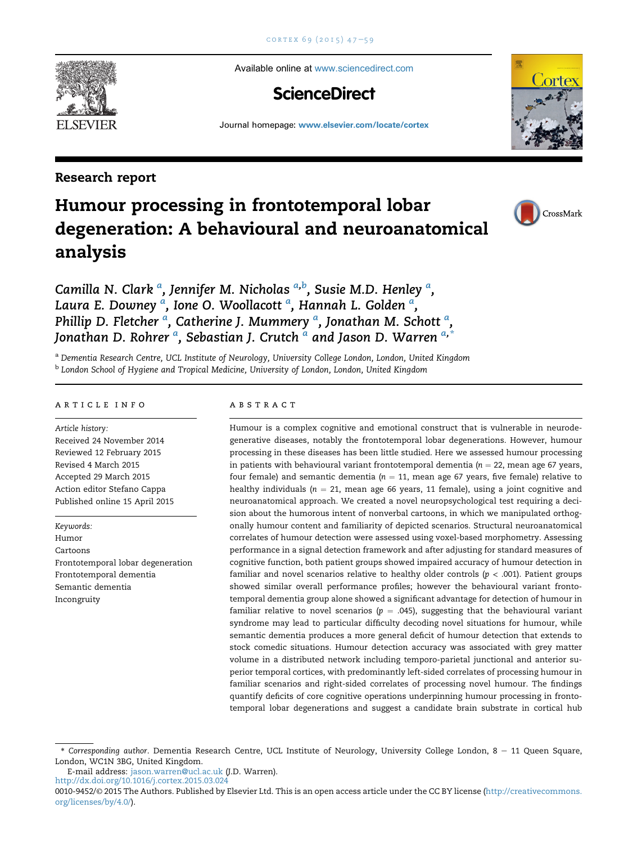Available online at [www.sciencedirect.com](www.sciencedirect.com/science/journal/00109452)

## **ScienceDirect**

Journal homepage: <www.elsevier.com/locate/cortex>

## Research report

# Humour processing in frontotemporal lobar degeneration: A behavioural and neuroanatomical analysis



Camilla N. Clark <sup>a</sup>, Jennifer M. Nicholas <sup>a,b</sup>, Susie M.D. Henley <sup>a</sup>, Laura E. Downey <sup>a</sup>, Ione O. Woollacott <sup>a</sup>, Hannah L. Golden <sup>a</sup>, Phillip D. Fletcher <sup>a</sup>, Catherine J. Mummery <sup>a</sup>, Jonathan M. Schott <sup>a</sup>, Jonathan D. Rohrer <sup>a</sup>, Sebastian J. Crutch <sup>a</sup> and Jason D. Warren <sup>a,\*</sup>

a Dementia Research Centre, UCL Institute of Neurology, University College London, London, United Kingdom <sup>b</sup> London School of Hygiene and Tropical Medicine, University of London, London, United Kingdom

#### article info

Article history: Received 24 November 2014 Reviewed 12 February 2015 Revised 4 March 2015 Accepted 29 March 2015 Action editor Stefano Cappa Published online 15 April 2015

Keywords: Humor Cartoons Frontotemporal lobar degeneration Frontotemporal dementia Semantic dementia Incongruity

#### **ABSTRACT**

Humour is a complex cognitive and emotional construct that is vulnerable in neurodegenerative diseases, notably the frontotemporal lobar degenerations. However, humour processing in these diseases has been little studied. Here we assessed humour processing in patients with behavioural variant frontotemporal dementia ( $n = 22$ , mean age 67 years, four female) and semantic dementia ( $n = 11$ , mean age 67 years, five female) relative to healthy individuals ( $n = 21$ , mean age 66 years, 11 female), using a joint cognitive and neuroanatomical approach. We created a novel neuropsychological test requiring a decision about the humorous intent of nonverbal cartoons, in which we manipulated orthogonally humour content and familiarity of depicted scenarios. Structural neuroanatomical correlates of humour detection were assessed using voxel-based morphometry. Assessing performance in a signal detection framework and after adjusting for standard measures of cognitive function, both patient groups showed impaired accuracy of humour detection in familiar and novel scenarios relative to healthy older controls  $(p < .001)$ . Patient groups showed similar overall performance profiles; however the behavioural variant frontotemporal dementia group alone showed a significant advantage for detection of humour in familiar relative to novel scenarios ( $p = .045$ ), suggesting that the behavioural variant syndrome may lead to particular difficulty decoding novel situations for humour, while semantic dementia produces a more general deficit of humour detection that extends to stock comedic situations. Humour detection accuracy was associated with grey matter volume in a distributed network including temporo-parietal junctional and anterior superior temporal cortices, with predominantly left-sided correlates of processing humour in familiar scenarios and right-sided correlates of processing novel humour. The findings quantify deficits of core cognitive operations underpinning humour processing in frontotemporal lobar degenerations and suggest a candidate brain substrate in cortical hub

E-mail address: [jason.warren@ucl.ac.uk](mailto:jason.warren@ucl.ac.uk) (J.D. Warren). <http://dx.doi.org/10.1016/j.cortex.2015.03.024>

0010-9452/© 2015 The Authors. Published by Elsevier Ltd. This is an open access article under the CC BY license [\(http://creativecommons.](http://creativecommons.org/licenses/by/4.�0/) [org/licenses/by/4.0/](http://creativecommons.org/licenses/by/4.�0/)).





<sup>\*</sup> Corresponding author. Dementia Research Centre, UCL Institute of Neurology, University College London, 8 - 11 Queen Square, London, WC1N 3BG, United Kingdom.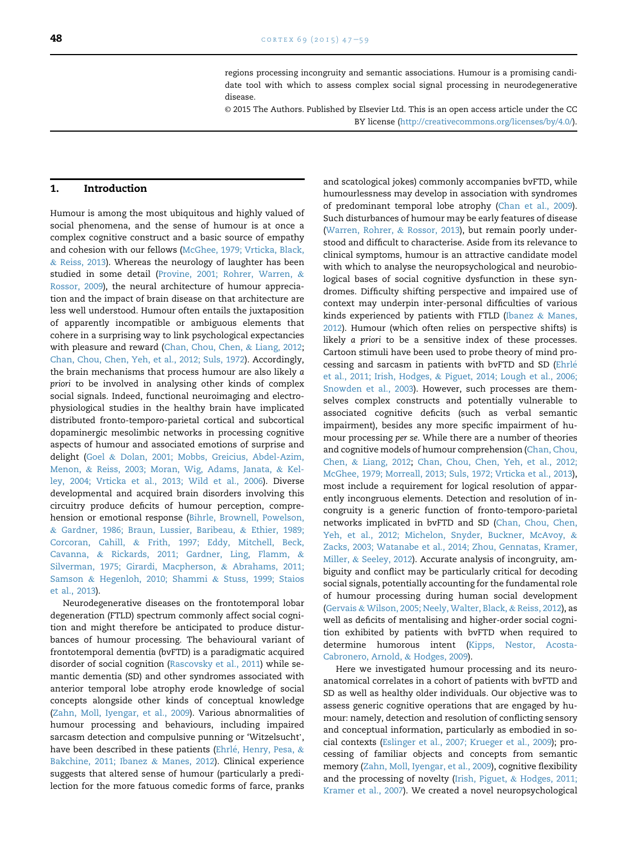regions processing incongruity and semantic associations. Humour is a promising candidate tool with which to assess complex social signal processing in neurodegenerative disease.

© 2015 The Authors. Published by Elsevier Ltd. This is an open access article under the CC BY license ([http://creativecommons.org/licenses/by/4.0/\)](http://creativecommons.org/licenses/by/4.�0/).

#### 1. Introduction

Humour is among the most ubiquitous and highly valued of social phenomena, and the sense of humour is at once a complex cognitive construct and a basic source of empathy and cohesion with our fellows ([McGhee, 1979; Vrticka, Black,](#page-11-0) & [Reiss, 2013\)](#page-11-0). Whereas the neurology of laughter has been studied in some detail ([Provine, 2001; Rohrer, Warren,](#page-11-0) & [Rossor, 2009\)](#page-11-0), the neural architecture of humour appreciation and the impact of brain disease on that architecture are less well understood. Humour often entails the juxtaposition of apparently incompatible or ambiguous elements that cohere in a surprising way to link psychological expectancies with pleasure and reward ([Chan, Chou, Chen,](#page-10-0) & [Liang, 2012](#page-10-0); [Chan, Chou, Chen, Yeh, et al., 2012; Suls, 1972](#page-10-0)). Accordingly, the brain mechanisms that process humour are also likely a priori to be involved in analysing other kinds of complex social signals. Indeed, functional neuroimaging and electrophysiological studies in the healthy brain have implicated distributed fronto-temporo-parietal cortical and subcortical dopaminergic mesolimbic networks in processing cognitive aspects of humour and associated emotions of surprise and delight [\(Goel](#page-11-0) & [Dolan, 2001; Mobbs, Greicius, Abdel-Azim,](#page-11-0) [Menon,](#page-11-0) & [Reiss, 2003; Moran, Wig, Adams, Janata,](#page-11-0) & [Kel](#page-11-0)[ley, 2004; Vrticka et al., 2013; Wild et al., 2006](#page-11-0)). Diverse developmental and acquired brain disorders involving this circuitry produce deficits of humour perception, comprehension or emotional response ([Bihrle, Brownell, Powelson,](#page-10-0) & [Gardner, 1986; Braun, Lussier, Baribeau,](#page-10-0) & [Ethier, 1989;](#page-10-0) [Corcoran, Cahill,](#page-10-0) & [Frith, 1997; Eddy, Mitchell, Beck,](#page-10-0) [Cavanna,](#page-10-0) & [Rickards, 2011; Gardner, Ling, Flamm,](#page-10-0) & [Silverman, 1975; Girardi, Macpherson,](#page-10-0) & [Abrahams, 2011;](#page-10-0) [Samson](#page-10-0) & [Hegenloh, 2010; Shammi](#page-10-0) & [Stuss, 1999; Staios](#page-10-0) [et al., 2013\)](#page-10-0).

Neurodegenerative diseases on the frontotemporal lobar degeneration (FTLD) spectrum commonly affect social cognition and might therefore be anticipated to produce disturbances of humour processing. The behavioural variant of frontotemporal dementia (bvFTD) is a paradigmatic acquired disorder of social cognition ([Rascovsky et al., 2011](#page-11-0)) while semantic dementia (SD) and other syndromes associated with anterior temporal lobe atrophy erode knowledge of social concepts alongside other kinds of conceptual knowledge ([Zahn, Moll, Iyengar, et al., 2009\)](#page-12-0). Various abnormalities of humour processing and behaviours, including impaired sarcasm detection and compulsive punning or 'Witzelsucht', have been described in these patients (Ehrlé, Henry, Pesa,  $\&$ [Bakchine, 2011; Ibanez](#page-10-0) & [Manes, 2012\)](#page-10-0). Clinical experience suggests that altered sense of humour (particularly a predilection for the more fatuous comedic forms of farce, pranks

and scatological jokes) commonly accompanies bvFTD, while humourlessness may develop in association with syndromes of predominant temporal lobe atrophy ([Chan et al., 2009\)](#page-10-0). Such disturbances of humour may be early features of disease ([Warren, Rohrer,](#page-12-0) & [Rossor, 2013\)](#page-12-0), but remain poorly understood and difficult to characterise. Aside from its relevance to clinical symptoms, humour is an attractive candidate model with which to analyse the neuropsychological and neurobiological bases of social cognitive dysfunction in these syndromes. Difficulty shifting perspective and impaired use of context may underpin inter-personal difficulties of various kinds experienced by patients with FTLD [\(Ibanez](#page-11-0) & [Manes,](#page-11-0) [2012\)](#page-11-0). Humour (which often relies on perspective shifts) is likely a priori to be a sensitive index of these processes. Cartoon stimuli have been used to probe theory of mind processing and sarcasm in patients with bvFTD and SD [\(Ehrl](#page-10-0)e [et al., 2011; Irish, Hodges,](#page-10-0) & [Piguet, 2014; Lough et al., 2006;](#page-10-0) [Snowden et al., 2003](#page-10-0)). However, such processes are themselves complex constructs and potentially vulnerable to associated cognitive deficits (such as verbal semantic impairment), besides any more specific impairment of humour processing per se. While there are a number of theories and cognitive models of humour comprehension ([Chan, Chou,](#page-10-0) [Chen,](#page-10-0) & [Liang, 2012;](#page-10-0) [Chan, Chou, Chen, Yeh, et al., 2012;](#page-10-0) [McGhee, 1979; Morreall, 2013; Suls, 1972; Vrticka et al., 2013\)](#page-10-0), most include a requirement for logical resolution of apparently incongruous elements. Detection and resolution of incongruity is a generic function of fronto-temporo-parietal networks implicated in bvFTD and SD [\(Chan, Chou, Chen,](#page-10-0) [Yeh, et al., 2012; Michelon, Snyder, Buckner, McAvoy,](#page-10-0) & [Zacks, 2003; Watanabe et al., 2014; Zhou, Gennatas, Kramer,](#page-10-0) [Miller,](#page-10-0) & [Seeley, 2012](#page-10-0)). Accurate analysis of incongruity, ambiguity and conflict may be particularly critical for decoding social signals, potentially accounting for the fundamental role of humour processing during human social development ([Gervais](#page-10-0) & [Wilson, 2005; Neely, Walter, Black,](#page-10-0) & [Reiss, 2012](#page-10-0)), as well as deficits of mentalising and higher-order social cognition exhibited by patients with bvFTD when required to determine humorous intent [\(Kipps, Nestor, Acosta-](#page-11-0)[Cabronero, Arnold,](#page-11-0) & [Hodges, 2009](#page-11-0)).

Here we investigated humour processing and its neuroanatomical correlates in a cohort of patients with bvFTD and SD as well as healthy older individuals. Our objective was to assess generic cognitive operations that are engaged by humour: namely, detection and resolution of conflicting sensory and conceptual information, particularly as embodied in social contexts [\(Eslinger et al., 2007; Krueger et al., 2009](#page-10-0)); processing of familiar objects and concepts from semantic memory ([Zahn, Moll, Iyengar, et al., 2009](#page-12-0)), cognitive flexibility and the processing of novelty [\(Irish, Piguet,](#page-11-0) & [Hodges, 2011;](#page-11-0) [Kramer et al., 2007](#page-11-0)). We created a novel neuropsychological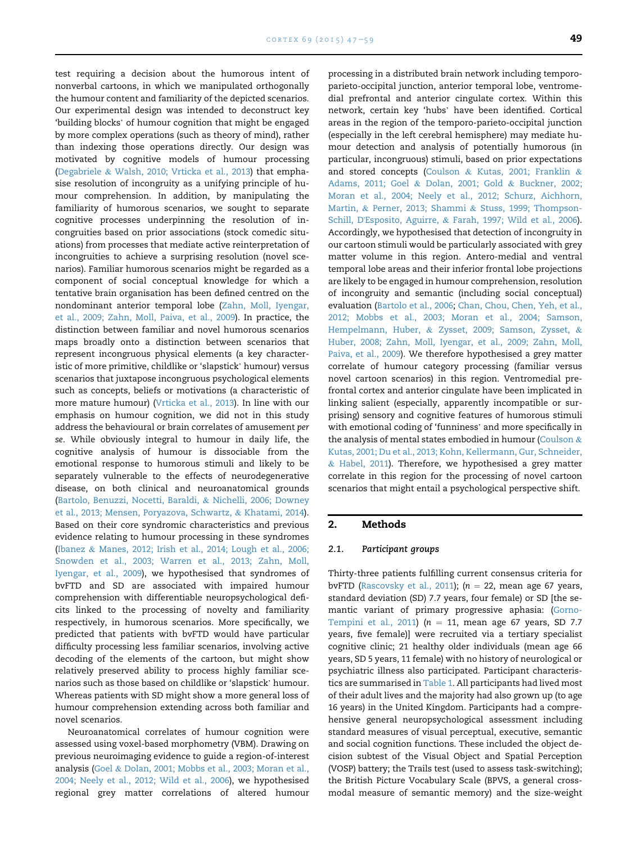test requiring a decision about the humorous intent of nonverbal cartoons, in which we manipulated orthogonally the humour content and familiarity of the depicted scenarios. Our experimental design was intended to deconstruct key 'building blocks' of humour cognition that might be engaged by more complex operations (such as theory of mind), rather than indexing those operations directly. Our design was motivated by cognitive models of humour processing [\(Degabriele](#page-10-0) & [Walsh, 2010; Vrticka et al., 2013\)](#page-10-0) that emphasise resolution of incongruity as a unifying principle of humour comprehension. In addition, by manipulating the familiarity of humorous scenarios, we sought to separate cognitive processes underpinning the resolution of incongruities based on prior associations (stock comedic situations) from processes that mediate active reinterpretation of incongruities to achieve a surprising resolution (novel scenarios). Familiar humorous scenarios might be regarded as a component of social conceptual knowledge for which a tentative brain organisation has been defined centred on the nondominant anterior temporal lobe ([Zahn, Moll, Iyengar,](#page-12-0) [et al., 2009; Zahn, Moll, Paiva, et al., 2009](#page-12-0)). In practice, the distinction between familiar and novel humorous scenarios maps broadly onto a distinction between scenarios that represent incongruous physical elements (a key character-istic of more primitive, childlike or 'slapstick' humour) versus scenarios that juxtapose incongruous psychological elements such as concepts, beliefs or motivations (a characteristic of more mature humour) ([Vrticka et al., 2013](#page-12-0)). In line with our emphasis on humour cognition, we did not in this study address the behavioural or brain correlates of amusement per se. While obviously integral to humour in daily life, the cognitive analysis of humour is dissociable from the emotional response to humorous stimuli and likely to be separately vulnerable to the effects of neurodegenerative disease, on both clinical and neuroanatomical grounds [\(Bartolo, Benuzzi, Nocetti, Baraldi,](#page-10-0) & [Nichelli, 2006; Downey](#page-10-0) [et al., 2013; Mensen, Poryazova, Schwartz,](#page-10-0) & [Khatami, 2014](#page-10-0)). Based on their core syndromic characteristics and previous evidence relating to humour processing in these syndromes [\(Ibanez](#page-11-0) & [Manes, 2012; Irish et al., 2014; Lough et al., 2006;](#page-11-0) [Snowden et al., 2003; Warren et al., 2013; Zahn, Moll,](#page-11-0) [Iyengar, et al., 2009](#page-11-0)), we hypothesised that syndromes of bvFTD and SD are associated with impaired humour comprehension with differentiable neuropsychological deficits linked to the processing of novelty and familiarity respectively, in humorous scenarios. More specifically, we predicted that patients with bvFTD would have particular difficulty processing less familiar scenarios, involving active decoding of the elements of the cartoon, but might show relatively preserved ability to process highly familiar scenarios such as those based on childlike or 'slapstick' humour. Whereas patients with SD might show a more general loss of humour comprehension extending across both familiar and novel scenarios.

Neuroanatomical correlates of humour cognition were assessed using voxel-based morphometry (VBM). Drawing on previous neuroimaging evidence to guide a region-of-interest analysis ([Goel](#page-11-0) & [Dolan, 2001; Mobbs et al., 2003; Moran et al.,](#page-11-0) [2004; Neely et al., 2012; Wild et al., 2006\)](#page-11-0), we hypothesised regional grey matter correlations of altered humour processing in a distributed brain network including temporoparieto-occipital junction, anterior temporal lobe, ventromedial prefrontal and anterior cingulate cortex. Within this network, certain key 'hubs' have been identified. Cortical areas in the region of the temporo-parieto-occipital junction (especially in the left cerebral hemisphere) may mediate humour detection and analysis of potentially humorous (in particular, incongruous) stimuli, based on prior expectations and stored concepts ([Coulson](#page-10-0) & [Kutas, 2001; Franklin](#page-10-0) & [Adams, 2011; Goel](#page-10-0) & [Dolan, 2001; Gold](#page-10-0) & [Buckner, 2002;](#page-10-0) [Moran et al., 2004; Neely et al., 2012; Schurz, Aichhorn,](#page-10-0) [Martin,](#page-10-0) & [Perner, 2013; Shammi](#page-10-0) & [Stuss, 1999; Thompson-](#page-10-0)Schill, D'[Esposito, Aguirre,](#page-10-0) & [Farah, 1997; Wild et al., 2006](#page-10-0)). Accordingly, we hypothesised that detection of incongruity in our cartoon stimuli would be particularly associated with grey matter volume in this region. Antero-medial and ventral temporal lobe areas and their inferior frontal lobe projections are likely to be engaged in humour comprehension, resolution of incongruity and semantic (including social conceptual) evaluation [\(Bartolo et al., 2006;](#page-10-0) [Chan, Chou, Chen, Yeh, et al.,](#page-10-0) [2012; Mobbs et al., 2003; Moran et al., 2004; Samson,](#page-10-0) [Hempelmann, Huber,](#page-10-0) & [Zysset, 2009; Samson, Zysset,](#page-10-0) & [Huber, 2008; Zahn, Moll, Iyengar, et al., 2009; Zahn, Moll,](#page-10-0) [Paiva, et al., 2009](#page-10-0)). We therefore hypothesised a grey matter correlate of humour category processing (familiar versus novel cartoon scenarios) in this region. Ventromedial prefrontal cortex and anterior cingulate have been implicated in linking salient (especially, apparently incompatible or surprising) sensory and cognitive features of humorous stimuli with emotional coding of 'funniness' and more specifically in the analysis of mental states embodied in humour [\(Coulson](#page-10-0) & [Kutas, 2001; Du et al., 2013; Kohn, Kellermann, Gur, Schneider,](#page-10-0)  $&$  [Habel, 2011\)](#page-10-0). Therefore, we hypothesised a grey matter correlate in this region for the processing of novel cartoon scenarios that might entail a psychological perspective shift.

#### 2. Methods

#### 2.1. Participant groups

Thirty-three patients fulfilling current consensus criteria for bvFTD ([Rascovsky et al., 2011](#page-11-0)); ( $n = 22$ , mean age 67 years, standard deviation (SD) 7.7 years, four female) or SD [the semantic variant of primary progressive aphasia: ([Gorno-](#page-11-0)[Tempini et al., 2011\)](#page-11-0) ( $n = 11$ , mean age 67 years, SD 7.7 years, five female)] were recruited via a tertiary specialist cognitive clinic; 21 healthy older individuals (mean age 66 years, SD 5 years, 11 female) with no history of neurological or psychiatric illness also participated. Participant characteristics are summarised in [Table 1.](#page-3-0) All participants had lived most of their adult lives and the majority had also grown up (to age 16 years) in the United Kingdom. Participants had a comprehensive general neuropsychological assessment including standard measures of visual perceptual, executive, semantic and social cognition functions. These included the object decision subtest of the Visual Object and Spatial Perception (VOSP) battery; the Trails test (used to assess task-switching); the British Picture Vocabulary Scale (BPVS, a general crossmodal measure of semantic memory) and the size-weight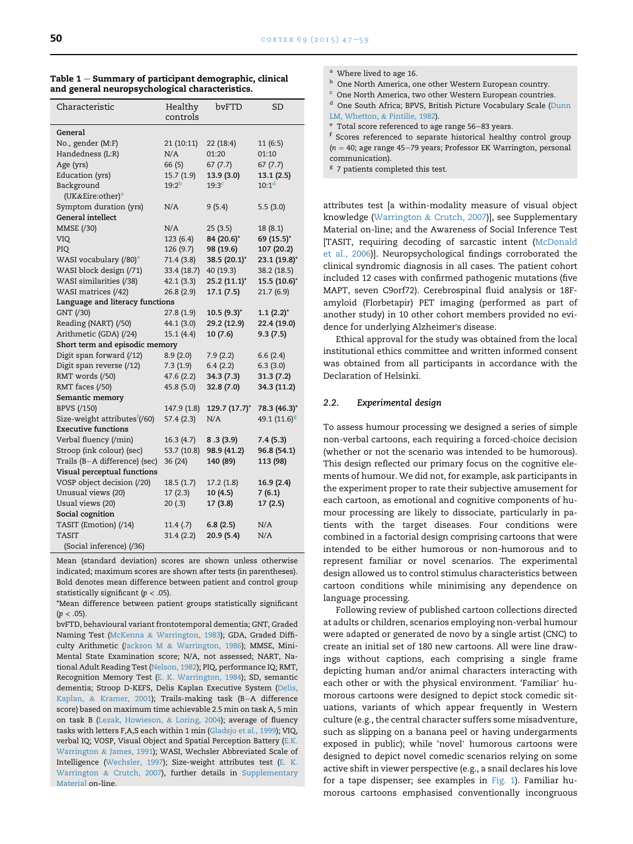| Characteristic                              | Healthy<br>controls | bvFTD           | SD                       |  |  |  |  |
|---------------------------------------------|---------------------|-----------------|--------------------------|--|--|--|--|
| General                                     |                     |                 |                          |  |  |  |  |
| No., gender (M:F)                           | 21 (10:11)          | 22 (18:4)       | 11 (6:5)                 |  |  |  |  |
| Handedness (L:R)                            | N/A                 | 01:20           | 01:10                    |  |  |  |  |
| Age (yrs)                                   | 66 (5)              | 67(7.7)         | 67(7.7)                  |  |  |  |  |
| Education (yrs)                             | 15.7 (1.9)          | 13.9 (3.0)      | 13.1(2.5)                |  |  |  |  |
| Background<br>(UK&Eire:other) <sup>a</sup>  | $19:2^b$            | $19:3^c$        | $10:1^d$                 |  |  |  |  |
| Symptom duration (yrs)<br>General intellect | N/A                 | 9(5.4)          | 5.5(3.0)                 |  |  |  |  |
| MMSE (/30)                                  | N/A                 | 25(3.5)         | 18 (8.1)                 |  |  |  |  |
| VIQ                                         | 123(6.4)            | 84 (20.6)*      | 69 (15.5)*               |  |  |  |  |
| PIQ                                         | 126(9.7)            | 98 (19.6)       | 107 (20.2)               |  |  |  |  |
| WASI vocabulary (/80) <sup>e</sup>          | 71.4(3.8)           | 38.5 (20.1)*    | 23.1 (19.8)*             |  |  |  |  |
| WASI block design (/71)                     | 33.4 (18.7)         | 40 (19.3)       | 38.2 (18.5)              |  |  |  |  |
| WASI similarities (/38)                     | 42.1(3.3)           | 25.2 (11.1)*    | 15.5 (10.6)*             |  |  |  |  |
| WASI matrices (/42)                         | 26.8(2.9)           | 17.1(7.5)       | 21.7(6.9)                |  |  |  |  |
| Language and literacy functions             |                     |                 |                          |  |  |  |  |
| GNT (/30)                                   | 27.8(1.9)           | $10.5(9.3)^{*}$ | $1.1(2.2)^{*}$           |  |  |  |  |
| Reading (NART) (/50)                        | 44.1 (3.0)          | 29.2 (12.9)     | 22.4 (19.0)              |  |  |  |  |
| Arithmetic (GDA) (/24)                      | 15.1(4.4)           | 10(7.6)         | 9.3(7.5)                 |  |  |  |  |
| Short term and episodic memory              |                     |                 |                          |  |  |  |  |
| Digit span forward (/12)                    | 8.9(2.0)            | 7.9(2.2)        | 6.6(2.4)                 |  |  |  |  |
| Digit span reverse (/12)                    | 7.3(1.9)            | 6.4(2.2)        | 6.3(3.0)                 |  |  |  |  |
| RMT words (/50)                             | 47.6(2.2)           | 34.3(7.3)       | 31.3(7.2)                |  |  |  |  |
| RMT faces (/50)                             | 45.8 (5.0)          | 32.8 (7.0)      | 34.3 (11.2)              |  |  |  |  |
| Semantic memory                             |                     |                 |                          |  |  |  |  |
| BPVS (/150)                                 | 147.9 (1.8)         | $129.7(17.7)^*$ | 78.3 (46.3)*             |  |  |  |  |
| Size-weight attributes <sup>f</sup> (/60)   | 57.4(2.3)           | N/A             | 49.1 (11.6) <sup>g</sup> |  |  |  |  |
| <b>Executive functions</b>                  |                     |                 |                          |  |  |  |  |
| Verbal fluency (/min)                       | 16.3(4.7)           | 8.3(3.9)        | 7.4(5.3)                 |  |  |  |  |
| Stroop (ink colour) (sec)                   | 53.7 (10.8)         | 98.9 (41.2)     | 96.8 (54.1)              |  |  |  |  |
| Trails (B-A difference) (sec)               | 36(24)              | 140 (89)        | 113 (98)                 |  |  |  |  |
| Visual perceptual functions                 |                     |                 |                          |  |  |  |  |
| VOSP object decision (/20)                  | 18.5(1.7)           | 17.2(1.8)       | 16.9 (2.4)               |  |  |  |  |
| Unusual views (20)                          | 17(2.3)             | 10(4.5)         | 7(6.1)                   |  |  |  |  |
| Usual views (20)                            | 20(.3)              | 17(3.8)         | 17(2.5)                  |  |  |  |  |
| Social cognition                            |                     |                 |                          |  |  |  |  |
| TASIT (Emotion) (/14)                       | 11.4(7)             | 6.8(2.5)        | N/A                      |  |  |  |  |
| <b>TASIT</b>                                | 31.4(2.2)           | 20.9(5.4)       | N/A                      |  |  |  |  |
| (Social inference) (/36)                    |                     |                 |                          |  |  |  |  |

<span id="page-3-0"></span>Table  $1 -$  Summary of participant demographic, clinical and general neuropsychological characteristics.

Mean (standard deviation) scores are shown unless otherwise indicated; maximum scores are shown after tests (in parentheses). Bold denotes mean difference between patient and control group statistically significant ( $p < .05$ ).

\*Mean difference between patient groups statistically significant  $(p < .05)$ .

bvFTD, behavioural variant frontotemporal dementia; GNT, Graded Naming Test ([McKenna](#page-11-0) & [Warrington, 1983\)](#page-11-0); GDA, Graded Difficulty Arithmetic [\(Jackson M](#page-11-0) & [Warrington, 1986](#page-11-0)); MMSE, Mini-Mental State Examination score; N/A, not assessed; NART, National Adult Reading Test [\(Nelson, 1982](#page-11-0)); PIQ, performance IQ; RMT, Recognition Memory Test [\(E. K. Warrington, 1984](#page-12-0)); SD, semantic dementia; Stroop D-KEFS, Delis Kaplan Executive System [\(Delis,](#page-10-0) [Kaplan,](#page-10-0) & [Kramer, 2001\)](#page-10-0); Trails-making task (B-A difference score) based on maximum time achievable 2.5 min on task A, 5 min on task B ([Lezak, Howieson,](#page-11-0) & [Loring, 2004\)](#page-11-0); average of fluency tasks with letters F,A,S each within 1 min [\(Gladsjo et al., 1999\)](#page-11-0); VIQ, verbal IQ; VOSP, Visual Object and Spatial Perception Battery ([E.K.](#page-12-0) [Warrington](#page-12-0) & [James, 1991\)](#page-12-0); WASI, Wechsler Abbreviated Scale of Intelligence ([Wechsler, 1997\)](#page-12-0); Size-weight attributes test [\(E. K.](#page-12-0) [Warrington](#page-12-0) & [Crutch, 2007](#page-12-0)), further details in Supplementary Material on-line.

<sup>a</sup> Where lived to age 16.

**b** One North America, one other Western European country.

- $c$  One North America, two other Western European countries.
- $^{\rm d}$  One South Africa; BPVS, British Picture Vocabulary Scale [\(Dunn](#page-10-0) [LM, Whetton,](#page-10-0) & [Pintilie, 1982\)](#page-10-0).
- $e$  Total score referenced to age range 56–83 years.

<sup>f</sup> Scores referenced to separate historical healthy control group  $(n = 40;$  age range 45–79 years; Professor EK Warrington, personal communication).

<sup>g</sup> 7 patients completed this test.

attributes test [a within-modality measure of visual object knowledge ([Warrington](#page-12-0) & [Crutch, 2007\)](#page-12-0)], see Supplementary Material on-line; and the Awareness of Social Inference Test [TASIT, requiring decoding of sarcastic intent ([McDonald](#page-11-0) [et al., 2006\)](#page-11-0)]. Neuropsychological findings corroborated the clinical syndromic diagnosis in all cases. The patient cohort included 12 cases with confirmed pathogenic mutations (five MAPT, seven C9orf72). Cerebrospinal fluid analysis or 18Famyloid (Florbetapir) PET imaging (performed as part of another study) in 10 other cohort members provided no evidence for underlying Alzheimer's disease.

Ethical approval for the study was obtained from the local institutional ethics committee and written informed consent was obtained from all participants in accordance with the Declaration of Helsinki.

#### 2.2. Experimental design

To assess humour processing we designed a series of simple non-verbal cartoons, each requiring a forced-choice decision (whether or not the scenario was intended to be humorous). This design reflected our primary focus on the cognitive elements of humour. We did not, for example, ask participants in the experiment proper to rate their subjective amusement for each cartoon, as emotional and cognitive components of humour processing are likely to dissociate, particularly in patients with the target diseases. Four conditions were combined in a factorial design comprising cartoons that were intended to be either humorous or non-humorous and to represent familiar or novel scenarios. The experimental design allowed us to control stimulus characteristics between cartoon conditions while minimising any dependence on language processing.

Following review of published cartoon collections directed at adults or children, scenarios employing non-verbal humour were adapted or generated de novo by a single artist (CNC) to create an initial set of 180 new cartoons. All were line drawings without captions, each comprising a single frame depicting human and/or animal characters interacting with each other or with the physical environment. 'Familiar' humorous cartoons were designed to depict stock comedic situations, variants of which appear frequently in Western culture (e.g., the central character suffers some misadventure, such as slipping on a banana peel or having undergarments exposed in public); while 'novel' humorous cartoons were designed to depict novel comedic scenarios relying on some active shift in viewer perspective (e.g., a snail declares his love for a tape dispenser; see examples in [Fig. 1\)](#page-4-0). Familiar humorous cartoons emphasised conventionally incongruous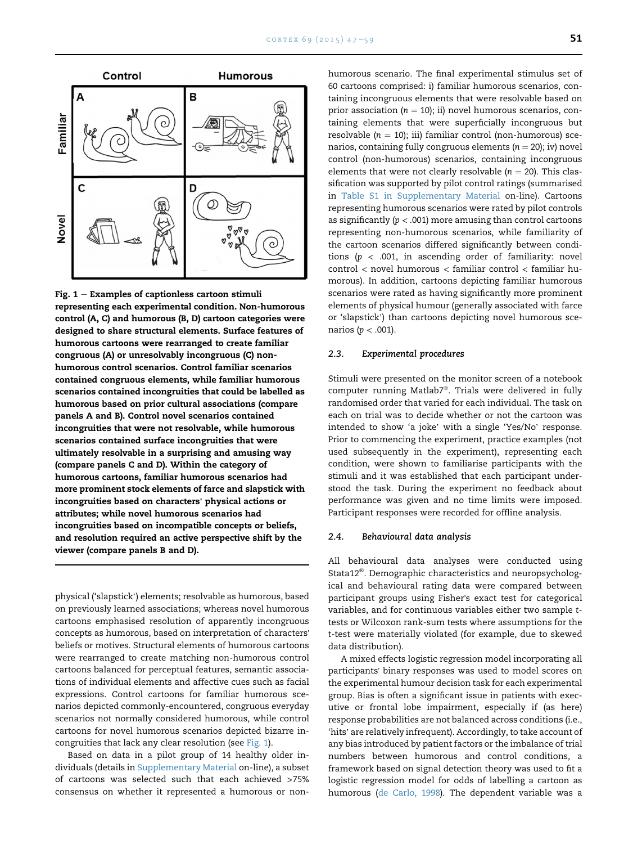<span id="page-4-0"></span>

Fig.  $1 -$  Examples of captionless cartoon stimuli representing each experimental condition. Non-humorous control (A, C) and humorous (B, D) cartoon categories were designed to share structural elements. Surface features of humorous cartoons were rearranged to create familiar congruous (A) or unresolvably incongruous (C) nonhumorous control scenarios. Control familiar scenarios contained congruous elements, while familiar humorous scenarios contained incongruities that could be labelled as humorous based on prior cultural associations (compare panels A and B). Control novel scenarios contained incongruities that were not resolvable, while humorous scenarios contained surface incongruities that were ultimately resolvable in a surprising and amusing way (compare panels C and D). Within the category of humorous cartoons, familiar humorous scenarios had more prominent stock elements of farce and slapstick with incongruities based on characters' physical actions or attributes; while novel humorous scenarios had incongruities based on incompatible concepts or beliefs, and resolution required an active perspective shift by the viewer (compare panels B and D).

physical ('slapstick') elements; resolvable as humorous, based on previously learned associations; whereas novel humorous cartoons emphasised resolution of apparently incongruous concepts as humorous, based on interpretation of characters' beliefs or motives. Structural elements of humorous cartoons were rearranged to create matching non-humorous control cartoons balanced for perceptual features, semantic associations of individual elements and affective cues such as facial expressions. Control cartoons for familiar humorous scenarios depicted commonly-encountered, congruous everyday scenarios not normally considered humorous, while control cartoons for novel humorous scenarios depicted bizarre incongruities that lack any clear resolution (see Fig. 1).

Based on data in a pilot group of 14 healthy older individuals (details in Supplementary Material on-line), a subset of cartoons was selected such that each achieved >75% consensus on whether it represented a humorous or nonhumorous scenario. The final experimental stimulus set of 60 cartoons comprised: i) familiar humorous scenarios, containing incongruous elements that were resolvable based on prior association ( $n = 10$ ); ii) novel humorous scenarios, containing elements that were superficially incongruous but resolvable ( $n = 10$ ); iii) familiar control (non-humorous) scenarios, containing fully congruous elements ( $n = 20$ ); iv) novel control (non-humorous) scenarios, containing incongruous elements that were not clearly resolvable ( $n = 20$ ). This classification was supported by pilot control ratings (summarised in Table S1 in Supplementary Material on-line). Cartoons representing humorous scenarios were rated by pilot controls as significantly ( $p < .001$ ) more amusing than control cartoons representing non-humorous scenarios, while familiarity of the cartoon scenarios differed significantly between conditions ( $p < .001$ , in ascending order of familiarity: novel control < novel humorous < familiar control < familiar humorous). In addition, cartoons depicting familiar humorous scenarios were rated as having significantly more prominent elements of physical humour (generally associated with farce or 'slapstick') than cartoons depicting novel humorous scenarios ( $p < .001$ ).

#### 2.3. Experimental procedures

Stimuli were presented on the monitor screen of a notebook computer running Matlab7®. Trials were delivered in fully randomised order that varied for each individual. The task on each on trial was to decide whether or not the cartoon was intended to show 'a joke' with a single 'Yes/No' response. Prior to commencing the experiment, practice examples (not used subsequently in the experiment), representing each condition, were shown to familiarise participants with the stimuli and it was established that each participant understood the task. During the experiment no feedback about performance was given and no time limits were imposed. Participant responses were recorded for offline analysis.

#### 2.4. Behavioural data analysis

All behavioural data analyses were conducted using Stata12®. Demographic characteristics and neuropsychological and behavioural rating data were compared between participant groups using Fisher's exact test for categorical variables, and for continuous variables either two sample ttests or Wilcoxon rank-sum tests where assumptions for the t-test were materially violated (for example, due to skewed data distribution).

A mixed effects logistic regression model incorporating all participants' binary responses was used to model scores on the experimental humour decision task for each experimental group. Bias is often a significant issue in patients with executive or frontal lobe impairment, especially if (as here) response probabilities are not balanced across conditions (i.e., 'hits' are relatively infrequent). Accordingly, to take account of any bias introduced by patient factors or the imbalance of trial numbers between humorous and control conditions, a framework based on signal detection theory was used to fit a logistic regression model for odds of labelling a cartoon as humorous ([de Carlo, 1998](#page-10-0)). The dependent variable was a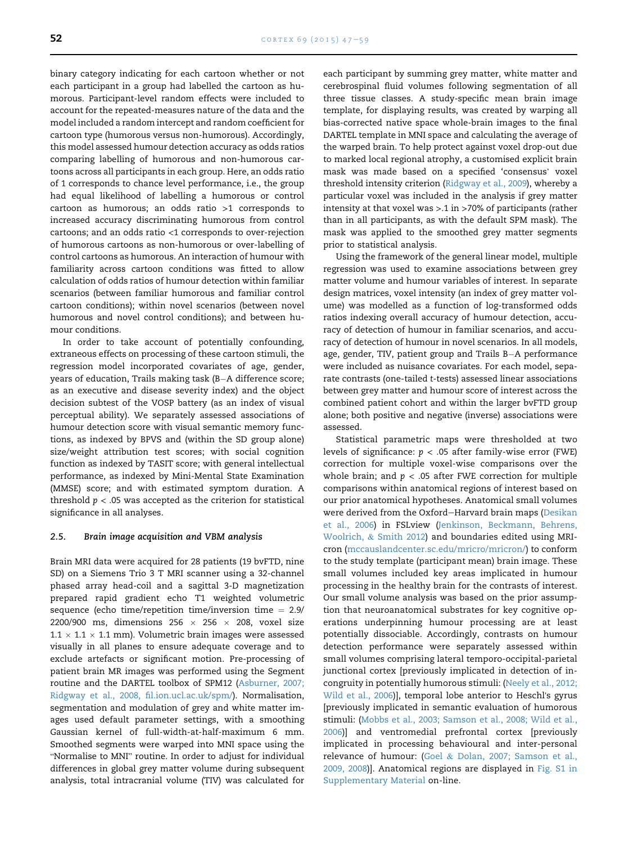binary category indicating for each cartoon whether or not each participant in a group had labelled the cartoon as humorous. Participant-level random effects were included to account for the repeated-measures nature of the data and the model included a random intercept and random coefficient for cartoon type (humorous versus non-humorous). Accordingly, this model assessed humour detection accuracy as odds ratios comparing labelling of humorous and non-humorous cartoons across all participants in each group. Here, an odds ratio of 1 corresponds to chance level performance, i.e., the group had equal likelihood of labelling a humorous or control cartoon as humorous; an odds ratio >1 corresponds to increased accuracy discriminating humorous from control cartoons; and an odds ratio <1 corresponds to over-rejection of humorous cartoons as non-humorous or over-labelling of control cartoons as humorous. An interaction of humour with familiarity across cartoon conditions was fitted to allow calculation of odds ratios of humour detection within familiar scenarios (between familiar humorous and familiar control cartoon conditions); within novel scenarios (between novel humorous and novel control conditions); and between humour conditions.

In order to take account of potentially confounding, extraneous effects on processing of these cartoon stimuli, the regression model incorporated covariates of age, gender, years of education, Trails making task (B-A difference score; as an executive and disease severity index) and the object decision subtest of the VOSP battery (as an index of visual perceptual ability). We separately assessed associations of humour detection score with visual semantic memory functions, as indexed by BPVS and (within the SD group alone) size/weight attribution test scores; with social cognition function as indexed by TASIT score; with general intellectual performance, as indexed by Mini-Mental State Examination (MMSE) score; and with estimated symptom duration. A threshold  $p < .05$  was accepted as the criterion for statistical significance in all analyses.

#### 2.5. Brain image acquisition and VBM analysis

Brain MRI data were acquired for 28 patients (19 bvFTD, nine SD) on a Siemens Trio 3 T MRI scanner using a 32-channel phased array head-coil and a sagittal 3-D magnetization prepared rapid gradient echo T1 weighted volumetric sequence (echo time/repetition time/inversion time  $= 2.9/$ 2200/900 ms, dimensions 256  $\times$  256  $\times$  208, voxel size  $1.1 \times 1.1 \times 1.1$  mm). Volumetric brain images were assessed visually in all planes to ensure adequate coverage and to exclude artefacts or significant motion. Pre-processing of patient brain MR images was performed using the Segment routine and the DARTEL toolbox of SPM12 ([Asburner, 2007;](#page-10-0) [Ridgway et al., 2008, fil.ion.ucl.ac.uk/spm/\)](#page-10-0). Normalisation, segmentation and modulation of grey and white matter images used default parameter settings, with a smoothing Gaussian kernel of full-width-at-half-maximum 6 mm. Smoothed segments were warped into MNI space using the "Normalise to MNI" routine. In order to adjust for individual differences in global grey matter volume during subsequent analysis, total intracranial volume (TIV) was calculated for

each participant by summing grey matter, white matter and cerebrospinal fluid volumes following segmentation of all three tissue classes. A study-specific mean brain image template, for displaying results, was created by warping all bias-corrected native space whole-brain images to the final DARTEL template in MNI space and calculating the average of the warped brain. To help protect against voxel drop-out due to marked local regional atrophy, a customised explicit brain mask was made based on a specified 'consensus' voxel threshold intensity criterion [\(Ridgway et al., 2009\)](#page-12-0), whereby a particular voxel was included in the analysis if grey matter intensity at that voxel was >.1 in >70% of participants (rather than in all participants, as with the default SPM mask). The mask was applied to the smoothed grey matter segments prior to statistical analysis.

Using the framework of the general linear model, multiple regression was used to examine associations between grey matter volume and humour variables of interest. In separate design matrices, voxel intensity (an index of grey matter volume) was modelled as a function of log-transformed odds ratios indexing overall accuracy of humour detection, accuracy of detection of humour in familiar scenarios, and accuracy of detection of humour in novel scenarios. In all models, age, gender, TIV, patient group and Trails B-A performance were included as nuisance covariates. For each model, separate contrasts (one-tailed t-tests) assessed linear associations between grey matter and humour score of interest across the combined patient cohort and within the larger bvFTD group alone; both positive and negative (inverse) associations were assessed.

Statistical parametric maps were thresholded at two levels of significance:  $p < .05$  after family-wise error (FWE) correction for multiple voxel-wise comparisons over the whole brain; and  $p < .05$  after FWE correction for multiple comparisons within anatomical regions of interest based on our prior anatomical hypotheses. Anatomical small volumes were derived from the Oxford-Harvard brain maps ([Desikan](#page-10-0) [et al., 2006\)](#page-10-0) in FSLview ([Jenkinson, Beckmann, Behrens,](#page-11-0) [Woolrich,](#page-11-0) & [Smith 2012](#page-11-0)) and boundaries edited using MRIcron ([mccauslandcenter.sc.edu/mricro/mricron/\)](#page-11-0) to conform to the study template (participant mean) brain image. These small volumes included key areas implicated in humour processing in the healthy brain for the contrasts of interest. Our small volume analysis was based on the prior assumption that neuroanatomical substrates for key cognitive operations underpinning humour processing are at least potentially dissociable. Accordingly, contrasts on humour detection performance were separately assessed within small volumes comprising lateral temporo-occipital-parietal junctional cortex [previously implicated in detection of incongruity in potentially humorous stimuli: ([Neely et al., 2012;](#page-11-0) [Wild et al., 2006\)](#page-11-0)], temporal lobe anterior to Heschl's gyrus [previously implicated in semantic evaluation of humorous stimuli: [\(Mobbs et al., 2003; Samson et al., 2008; Wild et al.,](#page-11-0) [2006](#page-11-0))] and ventromedial prefrontal cortex [previously implicated in processing behavioural and inter-personal relevance of humour: [\(Goel](#page-11-0) & [Dolan, 2007; Samson et al.,](#page-11-0) [2009, 2008\)](#page-11-0)]. Anatomical regions are displayed in Fig. S1 in Supplementary Material on-line.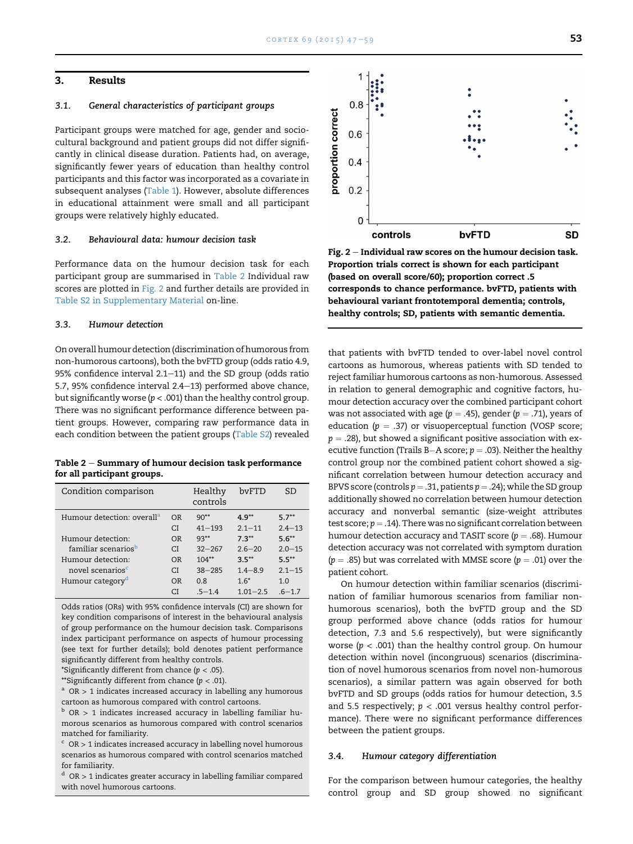#### <span id="page-6-0"></span>3. Results

#### 3.1. General characteristics of participant groups

Participant groups were matched for age, gender and sociocultural background and patient groups did not differ significantly in clinical disease duration. Patients had, on average, significantly fewer years of education than healthy control participants and this factor was incorporated as a covariate in subsequent analyses ([Table 1\)](#page-3-0). However, absolute differences in educational attainment were small and all participant groups were relatively highly educated.

#### 3.2. Behavioural data: humour decision task

Performance data on the humour decision task for each participant group are summarised in Table 2 Individual raw scores are plotted in Fig. 2 and further details are provided in Table S2 in Supplementary Material on-line.

#### 3.3. Humour detection

On overall humour detection (discrimination of humorous from non-humorous cartoons), both the bvFTD group (odds ratio 4.9, 95% confidence interval  $2.1-11$ ) and the SD group (odds ratio 5.7, 95% confidence interval 2.4 $-13$ ) performed above chance, but significantly worse ( $p < .001$ ) than the healthy control group. There was no significant performance difference between patient groups. However, comparing raw performance data in each condition between the patient groups (Table S2) revealed

Table  $2 -$  Summary of humour decision task performance for all participant groups.

| Condition comparison                   |                | Healthy<br>controls | byFTD        | SD         |
|----------------------------------------|----------------|---------------------|--------------|------------|
| Humour detection: overall <sup>a</sup> | 0 <sub>R</sub> | $90**$              | $4.9**$      | $5.7***$   |
|                                        | CI             | $41 - 193$          | $2.1 - 11$   | $2.4 - 13$ |
| Humour detection:                      | <b>OR</b>      | $93**$              | $7.3**$      | $5.6***$   |
| familiar scenarios <sup>b</sup>        | CI.            | $32 - 267$          | $26 - 20$    | $2.0 - 15$ |
| Humour detection:                      | <b>OR</b>      | $104**$             | $3.5***$     | $5.5***$   |
| novel scenarios <sup>c</sup>           | CI.            | $38 - 285$          | $1.4 - 8.9$  | $2.1 - 15$ |
| Humour category <sup>d</sup>           | <b>OR</b>      | 0.8                 | $1.6*$       | 1.0        |
|                                        | CI.            | $-5 - 14$           | $1.01 - 2.5$ | $6 - 17$   |

Odds ratios (ORs) with 95% confidence intervals (CI) are shown for key condition comparisons of interest in the behavioural analysis of group performance on the humour decision task. Comparisons index participant performance on aspects of humour processing (see text for further details); bold denotes patient performance significantly different from healthy controls.

\*Significantly different from chance  $(p < .05)$ .

\*\*Significantly different from chance ( $p < .01$ ).

 $a$  OR  $> 1$  indicates increased accuracy in labelling any humorous cartoon as humorous compared with control cartoons.

 $b$  OR > 1 indicates increased accuracy in labelling familiar humorous scenarios as humorous compared with control scenarios matched for familiarity.

 $\textdegree$  OR  $>$  1 indicates increased accuracy in labelling novel humorous scenarios as humorous compared with control scenarios matched for familiarity.

 $d$  OR  $>$  1 indicates greater accuracy in labelling familiar compared with novel humorous cartoons.



Fig.  $2$  – Individual raw scores on the humour decision task. Proportion trials correct is shown for each participant (based on overall score/60); proportion correct .5 corresponds to chance performance. bvFTD, patients with behavioural variant frontotemporal dementia; controls, healthy controls; SD, patients with semantic dementia.

that patients with bvFTD tended to over-label novel control cartoons as humorous, whereas patients with SD tended to reject familiar humorous cartoons as non-humorous. Assessed in relation to general demographic and cognitive factors, humour detection accuracy over the combined participant cohort was not associated with age ( $p = .45$ ), gender ( $p = .71$ ), years of education ( $p = .37$ ) or visuoperceptual function (VOSP score;  $p = .28$ ), but showed a significant positive association with executive function (Trails B $-A$  score;  $p = .03$ ). Neither the healthy control group nor the combined patient cohort showed a significant correlation between humour detection accuracy and BPVS score (controls  $p = .31$ , patients  $p = .24$ ); while the SD group additionally showed no correlation between humour detection accuracy and nonverbal semantic (size-weight attributes test score;  $p = .14$ ). There was no significant correlation between humour detection accuracy and TASIT score ( $p = .68$ ). Humour detection accuracy was not correlated with symptom duration ( $p = .85$ ) but was correlated with MMSE score ( $p = .01$ ) over the patient cohort.

On humour detection within familiar scenarios (discrimination of familiar humorous scenarios from familiar nonhumorous scenarios), both the bvFTD group and the SD group performed above chance (odds ratios for humour detection, 7.3 and 5.6 respectively), but were significantly worse  $(p < .001)$  than the healthy control group. On humour detection within novel (incongruous) scenarios (discrimination of novel humorous scenarios from novel non-humorous scenarios), a similar pattern was again observed for both bvFTD and SD groups (odds ratios for humour detection, 3.5 and 5.5 respectively;  $p < .001$  versus healthy control performance). There were no significant performance differences between the patient groups.

#### 3.4. Humour category differentiation

For the comparison between humour categories, the healthy control group and SD group showed no significant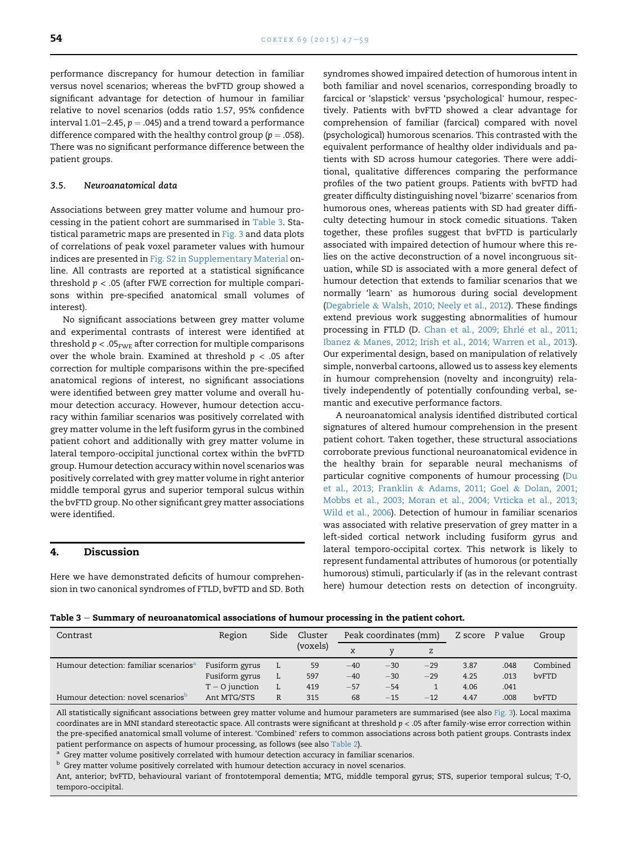<span id="page-7-0"></span>performance discrepancy for humour detection in familiar versus novel scenarios; whereas the bvFTD group showed a significant advantage for detection of humour in familiar relative to novel scenarios (odds ratio 1.57, 95% confidence interval 1.01–2.45,  $p = .045$ ) and a trend toward a performance difference compared with the healthy control group ( $p = .058$ ). There was no significant performance difference between the patient groups.

#### 3.5. Neuroanatomical data

Associations between grey matter volume and humour processing in the patient cohort are summarised in Table 3. Statistical parametric maps are presented in [Fig. 3](#page-8-0) and data plots of correlations of peak voxel parameter values with humour indices are presented in Fig. S2 in Supplementary Material online. All contrasts are reported at a statistical significance threshold  $p < .05$  (after FWE correction for multiple comparisons within pre-specified anatomical small volumes of interest).

No significant associations between grey matter volume and experimental contrasts of interest were identified at threshold  $p < .05$ <sub>FWE</sub> after correction for multiple comparisons over the whole brain. Examined at threshold  $p < .05$  after correction for multiple comparisons within the pre-specified anatomical regions of interest, no significant associations were identified between grey matter volume and overall humour detection accuracy. However, humour detection accuracy within familiar scenarios was positively correlated with grey matter volume in the left fusiform gyrus in the combined patient cohort and additionally with grey matter volume in lateral temporo-occipital junctional cortex within the bvFTD group. Humour detection accuracy within novel scenarios was positively correlated with grey matter volume in right anterior middle temporal gyrus and superior temporal sulcus within the bvFTD group. No other significant grey matter associations were identified.

#### 4. Discussion

Here we have demonstrated deficits of humour comprehension in two canonical syndromes of FTLD, bvFTD and SD. Both syndromes showed impaired detection of humorous intent in both familiar and novel scenarios, corresponding broadly to farcical or 'slapstick' versus 'psychological' humour, respectively. Patients with bvFTD showed a clear advantage for comprehension of familiar (farcical) compared with novel (psychological) humorous scenarios. This contrasted with the equivalent performance of healthy older individuals and patients with SD across humour categories. There were additional, qualitative differences comparing the performance profiles of the two patient groups. Patients with bvFTD had greater difficulty distinguishing novel 'bizarre' scenarios from humorous ones, whereas patients with SD had greater difficulty detecting humour in stock comedic situations. Taken together, these profiles suggest that bvFTD is particularly associated with impaired detection of humour where this relies on the active deconstruction of a novel incongruous situation, while SD is associated with a more general defect of humour detection that extends to familiar scenarios that we normally 'learn' as humorous during social development ([Degabriele](#page-10-0) & [Walsh, 2010; Neely et al., 2012\)](#page-10-0). These findings extend previous work suggesting abnormalities of humour processing in FTLD (D. [Chan et al., 2009; Ehrl](#page-10-0)é [et al., 2011;](#page-10-0) [Ibanez](#page-10-0) & [Manes, 2012; Irish et al., 2014; Warren et al., 2013\)](#page-10-0). Our experimental design, based on manipulation of relatively simple, nonverbal cartoons, allowed us to assess key elements in humour comprehension (novelty and incongruity) relatively independently of potentially confounding verbal, semantic and executive performance factors.

A neuroanatomical analysis identified distributed cortical signatures of altered humour comprehension in the present patient cohort. Taken together, these structural associations corroborate previous functional neuroanatomical evidence in the healthy brain for separable neural mechanisms of particular cognitive components of humour processing [\(Du](#page-10-0) [et al., 2013; Franklin](#page-10-0) & [Adams, 2011; Goel](#page-10-0) & [Dolan, 2001;](#page-10-0) [Mobbs et al., 2003; Moran et al., 2004; Vrticka et al., 2013;](#page-10-0) [Wild et al., 2006](#page-10-0)). Detection of humour in familiar scenarios was associated with relative preservation of grey matter in a left-sided cortical network including fusiform gyrus and lateral temporo-occipital cortex. This network is likely to represent fundamental attributes of humorous (or potentially humorous) stimuli, particularly if (as in the relevant contrast here) humour detection rests on detection of incongruity.

Table 3 – Summary of neuroanatomical associations of humour processing in the patient cohort.

| Contrast                                          | Region           | Side | Cluster  |                     | Peak coordinates (mm) |       | Z score | P value | Group    |
|---------------------------------------------------|------------------|------|----------|---------------------|-----------------------|-------|---------|---------|----------|
|                                                   |                  |      | (voxels) | $\boldsymbol{\chi}$ |                       | z     |         |         |          |
| Humour detection: familiar scenarios <sup>a</sup> | Fusiform gyrus   | L    | 59       | $-40$               | $-30$                 | $-29$ | 3.87    | .048    | Combined |
|                                                   | Fusiform gyrus   | L    | 597      | $-40$               | $-30$                 | $-29$ | 4.25    | .013    | byFTD    |
|                                                   | $T - O$ junction | L    | 419      | $-57$               | $-54$                 |       | 4.06    | .041    |          |
| Humour detection: novel scenarios <sup>b</sup>    | Ant MTG/STS      | R    | 315      | 68                  | $-15$                 | $-12$ | 4.47    | .008    | byFTD    |

All statistically significant associations between grey matter volume and humour parameters are summarised (see also [Fig. 3\)](#page-8-0). Local maxima  $\alpha$  coordinates are in MNI standard stereotactic space. All contrasts were significant at threshold  $p < .05$  after family-wise error correction within<br>the pre-specified anatomical small volume of interest. 'Combined' refe patient performance on aspects of humour processing, as follows (see also [Table 2\)](#page-6-0).

 $\mathrm{^a}\,$  Grey matter volume positively correlated with humour detection accuracy in familiar scenarios.

**b** Grey matter volume positively correlated with humour detection accuracy in novel scenarios

Ant, anterior; bvFTD, behavioural variant of frontotemporal dementia; MTG, middle temporal gyrus; STS, superior temporal sulcus; T-O, temporo-occipital.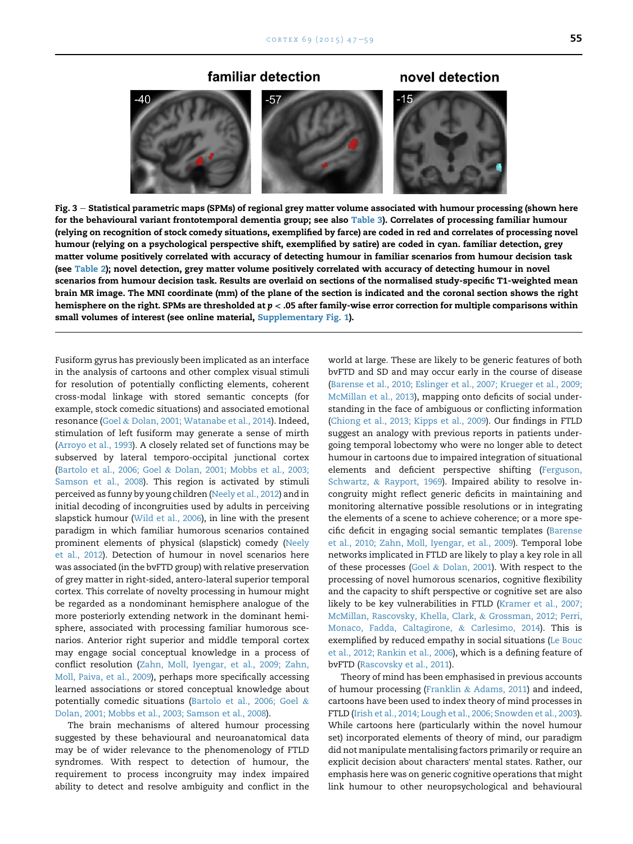### familiar detection

<span id="page-8-0"></span>

Fig.  $3$  – Statistical parametric maps (SPMs) of regional grey matter volume associated with humour processing (shown here for the behavioural variant frontotemporal dementia group; see also [Table 3](#page-7-0)). Correlates of processing familiar humour (relying on recognition of stock comedy situations, exemplified by farce) are coded in red and correlates of processing novel humour (relying on a psychological perspective shift, exemplified by satire) are coded in cyan. familiar detection, grey matter volume positively correlated with accuracy of detecting humour in familiar scenarios from humour decision task (see [Table 2\)](#page-6-0); novel detection, grey matter volume positively correlated with accuracy of detecting humour in novel scenarios from humour decision task. Results are overlaid on sections of the normalised study-specific T1-weighted mean brain MR image. The MNI coordinate (mm) of the plane of the section is indicated and the coronal section shows the right hemisphere on the right. SPMs are thresholded at p < .05 after family-wise error correction for multiple comparisons within small volumes of interest (see online material, Supplementary Fig. 1).

Fusiform gyrus has previously been implicated as an interface in the analysis of cartoons and other complex visual stimuli for resolution of potentially conflicting elements, coherent cross-modal linkage with stored semantic concepts (for example, stock comedic situations) and associated emotional resonance ([Goel](#page-11-0) & [Dolan, 2001; Watanabe et al., 2014](#page-11-0)). Indeed, stimulation of left fusiform may generate a sense of mirth [\(Arroyo et al., 1993\)](#page-10-0). A closely related set of functions may be subserved by lateral temporo-occipital junctional cortex [\(Bartolo et al., 2006; Goel](#page-10-0) & [Dolan, 2001; Mobbs et al., 2003;](#page-10-0) [Samson et al., 2008\)](#page-10-0). This region is activated by stimuli perceived as funny by young children [\(Neely et al., 2012\)](#page-11-0) and in initial decoding of incongruities used by adults in perceiving slapstick humour [\(Wild et al., 2006\)](#page-12-0), in line with the present paradigm in which familiar humorous scenarios contained prominent elements of physical (slapstick) comedy ([Neely](#page-11-0) [et al., 2012\)](#page-11-0). Detection of humour in novel scenarios here was associated (in the bvFTD group) with relative preservation of grey matter in right-sided, antero-lateral superior temporal cortex. This correlate of novelty processing in humour might be regarded as a nondominant hemisphere analogue of the more posteriorly extending network in the dominant hemisphere, associated with processing familiar humorous scenarios. Anterior right superior and middle temporal cortex may engage social conceptual knowledge in a process of conflict resolution [\(Zahn, Moll, Iyengar, et al., 2009; Zahn,](#page-12-0) [Moll, Paiva, et al., 2009](#page-12-0)), perhaps more specifically accessing learned associations or stored conceptual knowledge about potentially comedic situations [\(Bartolo et al., 2006; Goel](#page-10-0) & [Dolan, 2001; Mobbs et al., 2003; Samson et al., 2008](#page-10-0)).

The brain mechanisms of altered humour processing suggested by these behavioural and neuroanatomical data may be of wider relevance to the phenomenology of FTLD syndromes. With respect to detection of humour, the requirement to process incongruity may index impaired ability to detect and resolve ambiguity and conflict in the

world at large. These are likely to be generic features of both bvFTD and SD and may occur early in the course of disease [\(Barense et al., 2010; Eslinger et al., 2007; Krueger et al., 2009;](#page-10-0) [McMillan et al., 2013\)](#page-10-0), mapping onto deficits of social understanding in the face of ambiguous or conflicting information [\(Chiong et al., 2013; Kipps et al., 2009](#page-10-0)). Our findings in FTLD suggest an analogy with previous reports in patients undergoing temporal lobectomy who were no longer able to detect humour in cartoons due to impaired integration of situational elements and deficient perspective shifting [\(Ferguson,](#page-10-0) [Schwartz,](#page-10-0) & [Rayport, 1969](#page-10-0)). Impaired ability to resolve incongruity might reflect generic deficits in maintaining and monitoring alternative possible resolutions or in integrating the elements of a scene to achieve coherence; or a more specific deficit in engaging social semantic templates [\(Barense](#page-10-0) [et al., 2010; Zahn, Moll, Iyengar, et al., 2009\)](#page-10-0). Temporal lobe networks implicated in FTLD are likely to play a key role in all of these processes [\(Goel](#page-11-0)  $&$  [Dolan, 2001\)](#page-11-0). With respect to the processing of novel humorous scenarios, cognitive flexibility and the capacity to shift perspective or cognitive set are also likely to be key vulnerabilities in FTLD [\(Kramer et al., 2007;](#page-11-0) [McMillan, Rascovsky, Khella, Clark,](#page-11-0) & [Grossman, 2012; Perri,](#page-11-0) [Monaco, Fadda, Caltagirone,](#page-11-0) & [Carlesimo, 2014](#page-11-0)). This is exemplified by reduced empathy in social situations ([Le Bouc](#page-11-0) [et al., 2012; Rankin et al., 2006](#page-11-0)), which is a defining feature of bvFTD ([Rascovsky et al., 2011\)](#page-11-0).

novel detection

Theory of mind has been emphasised in previous accounts of humour processing [\(Franklin](#page-10-0) & [Adams, 2011](#page-10-0)) and indeed, cartoons have been used to index theory of mind processes in FTLD [\(Irish et al., 2014; Lough et al., 2006; Snowden et al., 2003](#page-11-0)). While cartoons here (particularly within the novel humour set) incorporated elements of theory of mind, our paradigm did not manipulate mentalising factors primarily or require an explicit decision about characters' mental states. Rather, our emphasis here was on generic cognitive operations that might link humour to other neuropsychological and behavioural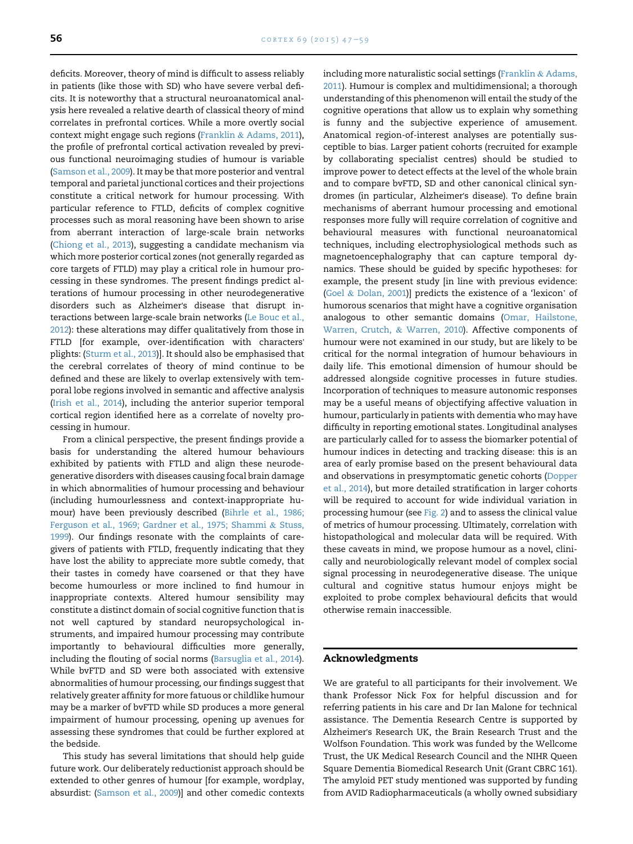deficits. Moreover, theory of mind is difficult to assess reliably in patients (like those with SD) who have severe verbal deficits. It is noteworthy that a structural neuroanatomical analysis here revealed a relative dearth of classical theory of mind correlates in prefrontal cortices. While a more overtly social context might engage such regions ([Franklin](#page-10-0) & [Adams, 2011\)](#page-10-0), the profile of prefrontal cortical activation revealed by previous functional neuroimaging studies of humour is variable ([Samson et al., 2009](#page-12-0)). It may be that more posterior and ventral temporal and parietal junctional cortices and their projections constitute a critical network for humour processing. With particular reference to FTLD, deficits of complex cognitive processes such as moral reasoning have been shown to arise from aberrant interaction of large-scale brain networks ([Chiong et al., 2013\)](#page-10-0), suggesting a candidate mechanism via which more posterior cortical zones (not generally regarded as core targets of FTLD) may play a critical role in humour processing in these syndromes. The present findings predict alterations of humour processing in other neurodegenerative disorders such as Alzheimer's disease that disrupt interactions between large-scale brain networks ([Le Bouc et al.,](#page-11-0) [2012\)](#page-11-0): these alterations may differ qualitatively from those in FTLD [for example, over-identification with characters' plights: ([Sturm et al., 2013](#page-12-0))]. It should also be emphasised that the cerebral correlates of theory of mind continue to be defined and these are likely to overlap extensively with temporal lobe regions involved in semantic and affective analysis ([Irish et al., 2014\)](#page-11-0), including the anterior superior temporal cortical region identified here as a correlate of novelty processing in humour.

From a clinical perspective, the present findings provide a basis for understanding the altered humour behaviours exhibited by patients with FTLD and align these neurodegenerative disorders with diseases causing focal brain damage in which abnormalities of humour processing and behaviour (including humourlessness and context-inappropriate humour) have been previously described [\(Bihrle et al., 1986;](#page-10-0) [Ferguson et al., 1969; Gardner et al., 1975; Shammi](#page-10-0) & [Stuss,](#page-10-0) [1999\)](#page-10-0). Our findings resonate with the complaints of caregivers of patients with FTLD, frequently indicating that they have lost the ability to appreciate more subtle comedy, that their tastes in comedy have coarsened or that they have become humourless or more inclined to find humour in inappropriate contexts. Altered humour sensibility may constitute a distinct domain of social cognitive function that is not well captured by standard neuropsychological instruments, and impaired humour processing may contribute importantly to behavioural difficulties more generally, including the flouting of social norms [\(Barsuglia et al., 2014\)](#page-10-0). While bvFTD and SD were both associated with extensive abnormalities of humour processing, our findings suggest that relatively greater affinity for more fatuous or childlike humour may be a marker of bvFTD while SD produces a more general impairment of humour processing, opening up avenues for assessing these syndromes that could be further explored at the bedside.

This study has several limitations that should help guide future work. Our deliberately reductionist approach should be extended to other genres of humour [for example, wordplay, absurdist: [\(Samson et al., 2009\)](#page-12-0)] and other comedic contexts

including more naturalistic social settings [\(Franklin](#page-10-0) & [Adams,](#page-10-0) [2011\)](#page-10-0). Humour is complex and multidimensional; a thorough understanding of this phenomenon will entail the study of the cognitive operations that allow us to explain why something is funny and the subjective experience of amusement. Anatomical region-of-interest analyses are potentially susceptible to bias. Larger patient cohorts (recruited for example by collaborating specialist centres) should be studied to improve power to detect effects at the level of the whole brain and to compare bvFTD, SD and other canonical clinical syndromes (in particular, Alzheimer's disease). To define brain mechanisms of aberrant humour processing and emotional responses more fully will require correlation of cognitive and behavioural measures with functional neuroanatomical techniques, including electrophysiological methods such as magnetoencephalography that can capture temporal dynamics. These should be guided by specific hypotheses: for example, the present study [in line with previous evidence: ([Goel](#page-11-0) & [Dolan, 2001\)](#page-11-0)] predicts the existence of a 'lexicon' of humorous scenarios that might have a cognitive organisation analogous to other semantic domains ([Omar, Hailstone,](#page-11-0) [Warren, Crutch,](#page-11-0) & [Warren, 2010\)](#page-11-0). Affective components of humour were not examined in our study, but are likely to be critical for the normal integration of humour behaviours in daily life. This emotional dimension of humour should be addressed alongside cognitive processes in future studies. Incorporation of techniques to measure autonomic responses may be a useful means of objectifying affective valuation in humour, particularly in patients with dementia who may have difficulty in reporting emotional states. Longitudinal analyses are particularly called for to assess the biomarker potential of humour indices in detecting and tracking disease: this is an area of early promise based on the present behavioural data and observations in presymptomatic genetic cohorts ([Dopper](#page-10-0) [et al., 2014](#page-10-0)), but more detailed stratification in larger cohorts will be required to account for wide individual variation in processing humour (see [Fig. 2](#page-6-0)) and to assess the clinical value of metrics of humour processing. Ultimately, correlation with histopathological and molecular data will be required. With these caveats in mind, we propose humour as a novel, clinically and neurobiologically relevant model of complex social signal processing in neurodegenerative disease. The unique cultural and cognitive status humour enjoys might be exploited to probe complex behavioural deficits that would otherwise remain inaccessible.

#### Acknowledgments

We are grateful to all participants for their involvement. We thank Professor Nick Fox for helpful discussion and for referring patients in his care and Dr Ian Malone for technical assistance. The Dementia Research Centre is supported by Alzheimer's Research UK, the Brain Research Trust and the Wolfson Foundation. This work was funded by the Wellcome Trust, the UK Medical Research Council and the NIHR Queen Square Dementia Biomedical Research Unit (Grant CBRC 161). The amyloid PET study mentioned was supported by funding from AVID Radiopharmaceuticals (a wholly owned subsidiary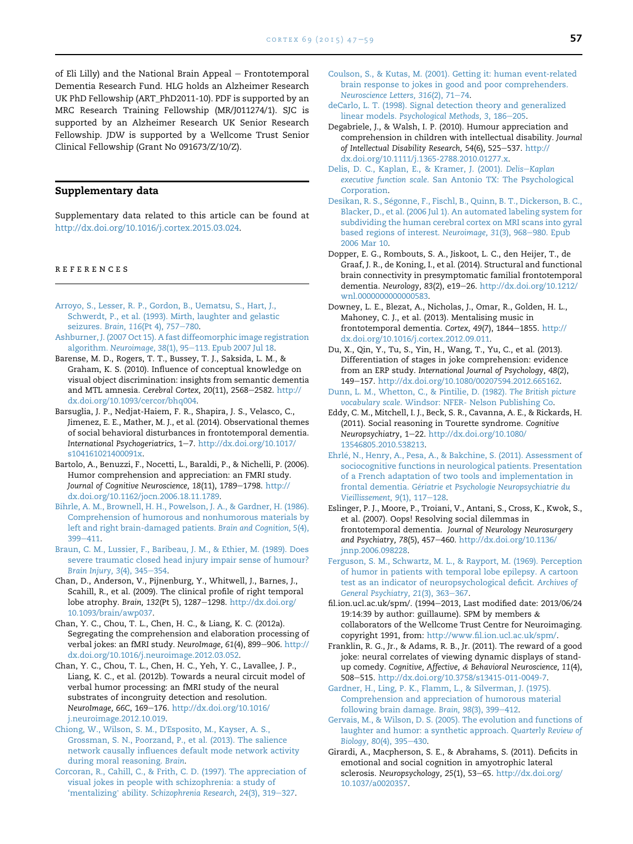<span id="page-10-0"></span>of Eli Lilly) and the National Brain Appeal  $-$  Frontotemporal Dementia Research Fund. HLG holds an Alzheimer Research UK PhD Fellowship (ART\_PhD2011-10). PDF is supported by an MRC Research Training Fellowship (MR/J011274/1). SJC is supported by an Alzheimer Research UK Senior Research Fellowship. JDW is supported by a Wellcome Trust Senior Clinical Fellowship (Grant No 091673/Z/10/Z).

#### Supplementary data

Supplementary data related to this article can be found at <http://dx.doi.org/10.1016/j.cortex.2015.03.024>.

references

- [Arroyo, S., Lesser, R. P., Gordon, B., Uematsu, S., Hart, J.,](http://refhub.elsevier.com/S0010-9452(15)00123-9/sref1) [Schwerdt, P., et al. \(1993\). Mirth, laughter and gelastic](http://refhub.elsevier.com/S0010-9452(15)00123-9/sref1) seizures. Brain, 116[\(Pt 4\), 757](http://refhub.elsevier.com/S0010-9452(15)00123-9/sref1)-[780.](http://refhub.elsevier.com/S0010-9452(15)00123-9/sref1)
- [Ashburner, J. \(2007 Oct 15\). A fast diffeomorphic image registration](http://refhub.elsevier.com/S0010-9452(15)00123-9/sref90) algorithm. [Neuroimage, 38](http://refhub.elsevier.com/S0010-9452(15)00123-9/sref90)(1), 95-[113. Epub 2007 Jul 18.](http://refhub.elsevier.com/S0010-9452(15)00123-9/sref90)
- Barense, M. D., Rogers, T. T., Bussey, T. J., Saksida, L. M., & Graham, K. S. (2010). Influence of conceptual knowledge on visual object discrimination: insights from semantic dementia and MTL amnesia. Cerebral Cortex, 20(11), 2568-2582. [http://](http://dx.doi.org/10.1093/cercor/bhq004) [dx.doi.org/10.1093/cercor/bhq004.](http://dx.doi.org/10.1093/cercor/bhq004)
- Barsuglia, J. P., Nedjat-Haiem, F. R., Shapira, J. S., Velasco, C., Jimenez, E. E., Mather, M. J., et al. (2014). Observational themes of social behavioral disturbances in frontotemporal dementia. International Psychogeriatrics, 1-7. [http://dx.doi.org/10.1017/](http://dx.doi.org/10.1017/s104161021400091x) [s104161021400091x.](http://dx.doi.org/10.1017/s104161021400091x)
- Bartolo, A., Benuzzi, F., Nocetti, L., Baraldi, P., & Nichelli, P. (2006). Humor comprehension and appreciation: an FMRI study. Journal of Cognitive Neuroscience, 18(11), 1789-1798. [http://](http://dx.doi.org/10.1162/jocn.2006.18.11.1789) [dx.doi.org/10.1162/jocn.2006.18.11.1789](http://dx.doi.org/10.1162/jocn.2006.18.11.1789).
- [Bihrle, A. M., Brownell, H. H., Powelson, J. A., & Gardner, H. \(1986\).](http://refhub.elsevier.com/S0010-9452(15)00123-9/sref5) [Comprehension of humorous and nonhumorous materials by](http://refhub.elsevier.com/S0010-9452(15)00123-9/sref5) [left and right brain-damaged patients.](http://refhub.elsevier.com/S0010-9452(15)00123-9/sref5) Brain and Cognition, 5(4), [399](http://refhub.elsevier.com/S0010-9452(15)00123-9/sref5)-[411](http://refhub.elsevier.com/S0010-9452(15)00123-9/sref5).
- [Braun, C. M., Lussier, F., Baribeau, J. M., & Ethier, M. \(1989\). Does](http://refhub.elsevier.com/S0010-9452(15)00123-9/sref6) [severe traumatic closed head injury impair sense of humour?](http://refhub.elsevier.com/S0010-9452(15)00123-9/sref6) [Brain Injury, 3](http://refhub.elsevier.com/S0010-9452(15)00123-9/sref6)(4), 345-[354](http://refhub.elsevier.com/S0010-9452(15)00123-9/sref6).
- Chan, D., Anderson, V., Pijnenburg, Y., Whitwell, J., Barnes, J., Scahill, R., et al. (2009). The clinical profile of right temporal lobe atrophy. Brain, 132(Pt 5), 1287-1298. [http://dx.doi.org/](http://dx.doi.org/10.1093/brain/awp037) [10.1093/brain/awp037](http://dx.doi.org/10.1093/brain/awp037).
- Chan, Y. C., Chou, T. L., Chen, H. C., & Liang, K. C. (2012a). Segregating the comprehension and elaboration processing of verbal jokes: an fMRI study. NeuroImage, 61(4), 899-906. [http://](http://dx.doi.org/10.1016/j.neuroimage.2012.03.052) [dx.doi.org/10.1016/j.neuroimage.2012.03.052.](http://dx.doi.org/10.1016/j.neuroimage.2012.03.052)
- Chan, Y. C., Chou, T. L., Chen, H. C., Yeh, Y. C., Lavallee, J. P., Liang, K. C., et al. (2012b). Towards a neural circuit model of verbal humor processing: an fMRI study of the neural substrates of incongruity detection and resolution. NeuroImage, 66C, 169-176. [http://dx.doi.org/10.1016/](http://dx.doi.org/10.1016/j.neuroimage.2012.10.019) [j.neuroimage.2012.10.019.](http://dx.doi.org/10.1016/j.neuroimage.2012.10.019)
- [Chiong, W., Wilson, S. M., D](http://refhub.elsevier.com/S0010-9452(15)00123-9/sref10)'Esposito, M., Kayser, A. S., [Grossman, S. N., Poorzand, P., et al. \(2013\). The salience](http://refhub.elsevier.com/S0010-9452(15)00123-9/sref10) [network causally influences default mode network activity](http://refhub.elsevier.com/S0010-9452(15)00123-9/sref10) [during moral reasoning.](http://refhub.elsevier.com/S0010-9452(15)00123-9/sref10) Brain.
- [Corcoran, R., Cahill, C., & Frith, C. D. \(1997\). The appreciation of](http://refhub.elsevier.com/S0010-9452(15)00123-9/sref12) [visual jokes in people with schizophrenia: a study of](http://refhub.elsevier.com/S0010-9452(15)00123-9/sref12)<br>'mentalizing' ability. [Schizophrenia Research, 24](http://refhub.elsevier.com/S0010-9452(15)00123-9/sref12)(3), 319–[327.](http://refhub.elsevier.com/S0010-9452(15)00123-9/sref12)
- [Coulson, S., & Kutas, M. \(2001\). Getting it: human event-related](http://refhub.elsevier.com/S0010-9452(15)00123-9/sref13) [brain response to jokes in good and poor comprehenders.](http://refhub.elsevier.com/S0010-9452(15)00123-9/sref13) [Neuroscience Letters, 316](http://refhub.elsevier.com/S0010-9452(15)00123-9/sref13)(2), 71-[74.](http://refhub.elsevier.com/S0010-9452(15)00123-9/sref13)
- [deCarlo, L. T. \(1998\). Signal detection theory and generalized](http://refhub.elsevier.com/S0010-9452(15)00123-9/sref89) linear models. [Psychological Methods, 3](http://refhub.elsevier.com/S0010-9452(15)00123-9/sref89), 186-[205.](http://refhub.elsevier.com/S0010-9452(15)00123-9/sref89)
- Degabriele, J., & Walsh, I. P. (2010). Humour appreciation and comprehension in children with intellectual disability. Journal of Intellectual Disability Research, 54(6), 525-537. [http://](http://dx.doi.org/10.1111/j.1365-2788.2010.01277.x) [dx.doi.org/10.1111/j.1365-2788.2010.01277.x](http://dx.doi.org/10.1111/j.1365-2788.2010.01277.x).
- [Delis, D. C., Kaplan, E., & Kramer, J. \(2001\).](http://refhub.elsevier.com/S0010-9452(15)00123-9/sref88) Delis-[Kaplan](http://refhub.elsevier.com/S0010-9452(15)00123-9/sref88) executive function scale[. San Antonio TX: The Psychological](http://refhub.elsevier.com/S0010-9452(15)00123-9/sref88) [Corporation.](http://refhub.elsevier.com/S0010-9452(15)00123-9/sref88)
- [Desikan, R. S., Segonne, F., Fischl, B., Quinn, B. T., Dickerson, B. C.,](http://refhub.elsevier.com/S0010-9452(15)00123-9/sref87) [Blacker, D., et al. \(2006 Jul 1\). An automated labeling system for](http://refhub.elsevier.com/S0010-9452(15)00123-9/sref87) [subdividing the human cerebral cortex on MRI scans into gyral](http://refhub.elsevier.com/S0010-9452(15)00123-9/sref87) [based regions of interest.](http://refhub.elsevier.com/S0010-9452(15)00123-9/sref87) Neuroimage, 31(3), 968-[980. Epub](http://refhub.elsevier.com/S0010-9452(15)00123-9/sref87) [2006 Mar 10](http://refhub.elsevier.com/S0010-9452(15)00123-9/sref87).
- Dopper, E. G., Rombouts, S. A., Jiskoot, L. C., den Heijer, T., de Graaf, J. R., de Koning, I., et al. (2014). Structural and functional brain connectivity in presymptomatic familial frontotemporal dementia. Neurology, 83(2), e19-26. [http://dx.doi.org/10.1212/](http://dx.doi.org/10.1212/wnl.0000000000000583) [wnl.0000000000000583.](http://dx.doi.org/10.1212/wnl.0000000000000583)
- Downey, L. E., Blezat, A., Nicholas, J., Omar, R., Golden, H. L., Mahoney, C. J., et al. (2013). Mentalising music in frontotemporal dementia. Cortex, 49(7), 1844-1855. [http://](http://dx.doi.org/10.1016/j.cortex.2012.09.011) [dx.doi.org/10.1016/j.cortex.2012.09.011.](http://dx.doi.org/10.1016/j.cortex.2012.09.011)
- Du, X., Qin, Y., Tu, S., Yin, H., Wang, T., Yu, C., et al. (2013). Differentiation of stages in joke comprehension: evidence from an ERP study. International Journal of Psychology, 48(2), 149-157. [http://dx.doi.org/10.1080/00207594.2012.665162.](http://dx.doi.org/10.1080/00207594.2012.665162)
- [Dunn, L. M., Whetton, C., & Pintilie, D. \(1982\).](http://refhub.elsevier.com/S0010-9452(15)00123-9/sref86) The British picture vocabulary scale[. Windsor: NFER- Nelson Publishing Co](http://refhub.elsevier.com/S0010-9452(15)00123-9/sref86).
- Eddy, C. M., Mitchell, I. J., Beck, S. R., Cavanna, A. E., & Rickards, H. (2011). Social reasoning in Tourette syndrome. Cognitive Neuropsychiatry, 1-22. [http://dx.doi.org/10.1080/](http://dx.doi.org/10.1080/13546805.2010.538213) [13546805.2010.538213](http://dx.doi.org/10.1080/13546805.2010.538213).
- Ehrlé, N., Henry, A., Pesa, A., & Bakchine, S. (2011). Assessment of [sociocognitive functions in neurological patients. Presentation](http://refhub.elsevier.com/S0010-9452(15)00123-9/sref19) [of a French adaptation of two tools and implementation in](http://refhub.elsevier.com/S0010-9452(15)00123-9/sref19) [frontal dementia.](http://refhub.elsevier.com/S0010-9452(15)00123-9/sref19) Gé[riatrie et Psychologie Neuropsychiatrie du](http://refhub.elsevier.com/S0010-9452(15)00123-9/sref19) [Vieillissement, 9](http://refhub.elsevier.com/S0010-9452(15)00123-9/sref19)(1), 117-[128.](http://refhub.elsevier.com/S0010-9452(15)00123-9/sref19)
- Eslinger, P. J., Moore, P., Troiani, V., Antani, S., Cross, K., Kwok, S., et al. (2007). Oops! Resolving social dilemmas in frontotemporal dementia. Journal of Neurology Neurosurgery and Psychiatry, 78(5), 457-460. [http://dx.doi.org/10.1136/](http://dx.doi.org/10.1136/jnnp.2006.098228) [jnnp.2006.098228](http://dx.doi.org/10.1136/jnnp.2006.098228).
- [Ferguson, S. M., Schwartz, M. L., & Rayport, M. \(1969\). Perception](http://refhub.elsevier.com/S0010-9452(15)00123-9/sref21) [of humor in patients with temporal lobe epilepsy. A cartoon](http://refhub.elsevier.com/S0010-9452(15)00123-9/sref21) [test as an indicator of neuropsychological deficit.](http://refhub.elsevier.com/S0010-9452(15)00123-9/sref21) Archives of [General Psychiatry, 21](http://refhub.elsevier.com/S0010-9452(15)00123-9/sref21)(3), 363-[367.](http://refhub.elsevier.com/S0010-9452(15)00123-9/sref21)
- fil.ion.ucl.ac.uk/spm/. (1994-2013, Last modified date: 2013/06/24 19:14:39 by author: guillaume). SPM by members  $\&$ collaborators of the Wellcome Trust Centre for Neuroimaging. copyright 1991, from: [http://www.fil.ion.ucl.ac.uk/spm/.](http://www.fil.ion.ucl.ac.uk/spm/)
- Franklin, R. G., Jr., & Adams, R. B., Jr. (2011). The reward of a good joke: neural correlates of viewing dynamic displays of standup comedy. Cognitive, Affective, & Behavioral Neuroscience, 11(4), 508-515. [http://dx.doi.org/10.3758/s13415-011-0049-7.](http://dx.doi.org/10.3758/s13415-011-0049-7)
- [Gardner, H., Ling, P. K., Flamm, L., & Silverman, J. \(1975\).](http://refhub.elsevier.com/S0010-9452(15)00123-9/sref23) [Comprehension and appreciation of humorous material](http://refhub.elsevier.com/S0010-9452(15)00123-9/sref23) [following brain damage.](http://refhub.elsevier.com/S0010-9452(15)00123-9/sref23) Brain, 98(3), 399-[412.](http://refhub.elsevier.com/S0010-9452(15)00123-9/sref23)
- [Gervais, M., & Wilson, D. S. \(2005\). The evolution and functions of](http://refhub.elsevier.com/S0010-9452(15)00123-9/sref24) [laughter and humor: a synthetic approach.](http://refhub.elsevier.com/S0010-9452(15)00123-9/sref24) Quarterly Review of [Biology, 80](http://refhub.elsevier.com/S0010-9452(15)00123-9/sref24)(4), 395-[430.](http://refhub.elsevier.com/S0010-9452(15)00123-9/sref24)
- Girardi, A., Macpherson, S. E., & Abrahams, S. (2011). Deficits in emotional and social cognition in amyotrophic lateral sclerosis. Neuropsychology, 25(1), 53-65. [http://dx.doi.org/](http://dx.doi.org/10.1037/a0020357) [10.1037/a0020357.](http://dx.doi.org/10.1037/a0020357)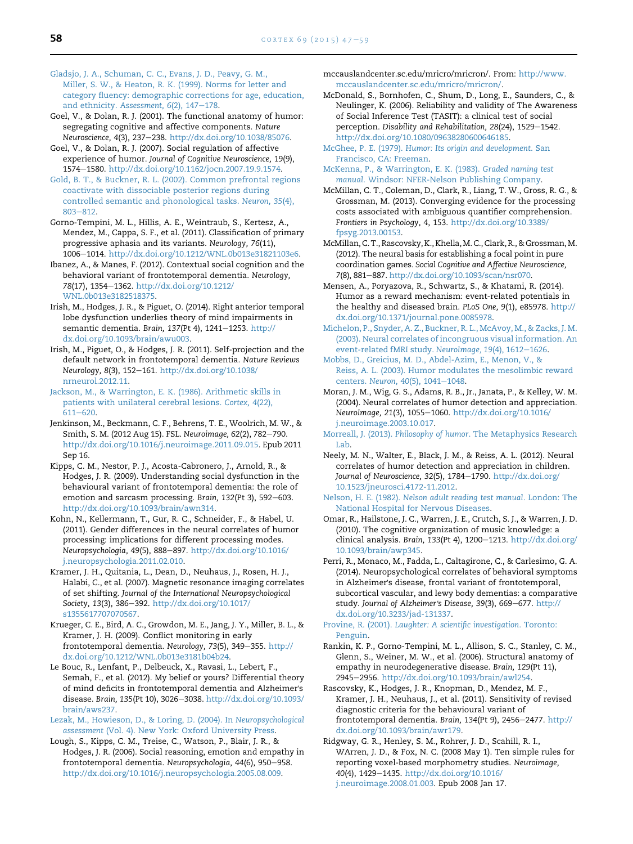<span id="page-11-0"></span>[Gladsjo, J. A., Schuman, C. C., Evans, J. D., Peavy, G. M.,](http://refhub.elsevier.com/S0010-9452(15)00123-9/sref85) [Miller, S. W., & Heaton, R. K. \(1999\). Norms for letter and](http://refhub.elsevier.com/S0010-9452(15)00123-9/sref85) [category fluency: demographic corrections for age, education,](http://refhub.elsevier.com/S0010-9452(15)00123-9/sref85) [and ethnicity.](http://refhub.elsevier.com/S0010-9452(15)00123-9/sref85) Assessment,  $6(2)$ ,  $147-178$  $147-178$ .

Goel, V., & Dolan, R. J. (2001). The functional anatomy of humor: segregating cognitive and affective components. Nature Neuroscience, 4(3), 237-238. [http://dx.doi.org/10.1038/85076.](http://dx.doi.org/10.1038/85076)

Goel, V., & Dolan, R. J. (2007). Social regulation of affective experience of humor. Journal of Cognitive Neuroscience, 19(9), 1574-1580. <http://dx.doi.org/10.1162/jocn.2007.19.9.1574>.

[Gold, B. T., & Buckner, R. L. \(2002\). Common prefrontal regions](http://refhub.elsevier.com/S0010-9452(15)00123-9/sref28) [coactivate with dissociable posterior regions during](http://refhub.elsevier.com/S0010-9452(15)00123-9/sref28) [controlled semantic and phonological tasks.](http://refhub.elsevier.com/S0010-9452(15)00123-9/sref28) Neuron, 35(4), [803](http://refhub.elsevier.com/S0010-9452(15)00123-9/sref28)-[812](http://refhub.elsevier.com/S0010-9452(15)00123-9/sref28).

Gorno-Tempini, M. L., Hillis, A. E., Weintraub, S., Kertesz, A., Mendez, M., Cappa, S. F., et al. (2011). Classification of primary progressive aphasia and its variants. Neurology, 76(11), 1006e1014. <http://dx.doi.org/10.1212/WNL.0b013e31821103e6>.

Ibanez, A., & Manes, F. (2012). Contextual social cognition and the behavioral variant of frontotemporal dementia. Neurology, 78(17), 1354-1362. [http://dx.doi.org/10.1212/](http://dx.doi.org/10.1212/WNL.0b013e3182518375) [WNL.0b013e3182518375.](http://dx.doi.org/10.1212/WNL.0b013e3182518375)

Irish, M., Hodges, J. R., & Piguet, O. (2014). Right anterior temporal lobe dysfunction underlies theory of mind impairments in semantic dementia. Brain, 137(Pt 4), 1241-1253. [http://](http://dx.doi.org/10.1093/brain/awu003) [dx.doi.org/10.1093/brain/awu003](http://dx.doi.org/10.1093/brain/awu003).

Irish, M., Piguet, O., & Hodges, J. R. (2011). Self-projection and the default network in frontotemporal dementia. Nature Reviews Neurology, 8(3), 152-161. [http://dx.doi.org/10.1038/](http://dx.doi.org/10.1038/nrneurol.2012.11) [nrneurol.2012.11](http://dx.doi.org/10.1038/nrneurol.2012.11).

[Jackson, M., & Warrington, E. K. \(1986\). Arithmetic skills in](http://refhub.elsevier.com/S0010-9452(15)00123-9/sref84) [patients with unilateral cerebral lesions.](http://refhub.elsevier.com/S0010-9452(15)00123-9/sref84) Cortex, 4(22),  $611 - 620$  $611 - 620$ .

Jenkinson, M., Beckmann, C. F., Behrens, T. E., Woolrich, M. W., & Smith, S. M. (2012 Aug 15). FSL. Neuroimage, 62(2), 782-790. <http://dx.doi.org/10.1016/j.neuroimage.2011.09.015>. Epub 2011 Sep 16.

Kipps, C. M., Nestor, P. J., Acosta-Cabronero, J., Arnold, R., & Hodges, J. R. (2009). Understanding social dysfunction in the behavioural variant of frontotemporal dementia: the role of emotion and sarcasm processing. Brain, 132(Pt 3), 592-603. [http://dx.doi.org/10.1093/brain/awn314.](http://dx.doi.org/10.1093/brain/awn314)

Kohn, N., Kellermann, T., Gur, R. C., Schneider, F., & Habel, U. (2011). Gender differences in the neural correlates of humor processing: implications for different processing modes. Neuropsychologia, 49(5), 888-897. [http://dx.doi.org/10.1016/](http://dx.doi.org/10.1016/j.neuropsychologia.2011.02.010) [j.neuropsychologia.2011.02.010](http://dx.doi.org/10.1016/j.neuropsychologia.2011.02.010).

Kramer, J. H., Quitania, L., Dean, D., Neuhaus, J., Rosen, H. J., Halabi, C., et al. (2007). Magnetic resonance imaging correlates of set shifting. Journal of the International Neuropsychological Society, 13(3), 386-392. [http://dx.doi.org/10.1017/](http://dx.doi.org/10.1017/s1355617707070567) [s1355617707070567](http://dx.doi.org/10.1017/s1355617707070567).

Krueger, C. E., Bird, A. C., Growdon, M. E., Jang, J. Y., Miller, B. L., & Kramer, J. H. (2009). Conflict monitoring in early frontotemporal dementia. Neurology, 73(5), 349-355. [http://](http://dx.doi.org/10.1212/WNL.0b013e3181b04b24) [dx.doi.org/10.1212/WNL.0b013e3181b04b24](http://dx.doi.org/10.1212/WNL.0b013e3181b04b24).

Le Bouc, R., Lenfant, P., Delbeuck, X., Ravasi, L., Lebert, F., Semah, F., et al. (2012). My belief or yours? Differential theory of mind deficits in frontotemporal dementia and Alzheimer's disease. Brain, 135(Pt 10), 3026-3038. [http://dx.doi.org/10.1093/](http://dx.doi.org/10.1093/brain/aws237) [brain/aws237](http://dx.doi.org/10.1093/brain/aws237).

[Lezak, M., Howieson, D., & Loring, D. \(2004\). In](http://refhub.elsevier.com/S0010-9452(15)00123-9/sref82) Neuropsychological assessment [\(Vol. 4\). New York: Oxford University Press](http://refhub.elsevier.com/S0010-9452(15)00123-9/sref82).

Lough, S., Kipps, C. M., Treise, C., Watson, P., Blair, J. R., & Hodges, J. R. (2006). Social reasoning, emotion and empathy in frontotemporal dementia. Neuropsychologia, 44(6), 950-958. <http://dx.doi.org/10.1016/j.neuropsychologia.2005.08.009>.

mccauslandcenter.sc.edu/mricro/mricron/. From: [http://www.](http://www.mccauslandcenter.sc.edu/mricro/mricron/) [mccauslandcenter.sc.edu/mricro/mricron/.](http://www.mccauslandcenter.sc.edu/mricro/mricron/)

McDonald, S., Bornhofen, C., Shum, D., Long, E., Saunders, C., & Neulinger, K. (2006). Reliability and validity of The Awareness of Social Inference Test (TASIT): a clinical test of social perception. Disability and Rehabilitation, 28(24), 1529-1542. [http://dx.doi.org/10.1080/09638280600646185.](http://dx.doi.org/10.1080/09638280600646185)

McGhee, P. E. (1979). [Humor: Its origin and development](http://refhub.elsevier.com/S0010-9452(15)00123-9/sref40). San [Francisco, CA: Freeman](http://refhub.elsevier.com/S0010-9452(15)00123-9/sref40).

[McKenna, P., & Warrington, E. K. \(1983\).](http://refhub.elsevier.com/S0010-9452(15)00123-9/sref81) Graded naming test manual[. Windsor: NFER-Nelson Publishing Company.](http://refhub.elsevier.com/S0010-9452(15)00123-9/sref81)

McMillan, C. T., Coleman, D., Clark, R., Liang, T. W., Gross, R. G., & Grossman, M. (2013). Converging evidence for the processing costs associated with ambiguous quantifier comprehension. Frontiers in Psychology, 4, 153. [http://dx.doi.org/10.3389/](http://dx.doi.org/10.3389/fpsyg.2013.00153) [fpsyg.2013.00153](http://dx.doi.org/10.3389/fpsyg.2013.00153).

McMillan,C.T., Rascovsky, K., Khella,M.C.,Clark,R., & Grossman,M. (2012). The neural basis for establishing a focal point in pure coordination games. Social Cognitive and Affective Neuroscience, 7(8), 881-887. <http://dx.doi.org/10.1093/scan/nsr070>.

Mensen, A., Poryazova, R., Schwartz, S., & Khatami, R. (2014). Humor as a reward mechanism: event-related potentials in the healthy and diseased brain. PLoS One, 9(1), e85978. [http://](http://dx.doi.org/10.1371/journal.pone.0085978) [dx.doi.org/10.1371/journal.pone.0085978](http://dx.doi.org/10.1371/journal.pone.0085978).

[Michelon, P., Snyder, A. Z., Buckner, R. L., McAvoy, M., & Zacks, J. M.](http://refhub.elsevier.com/S0010-9452(15)00123-9/sref44) [\(2003\). Neural correlates of incongruous visual information. An](http://refhub.elsevier.com/S0010-9452(15)00123-9/sref44) [event-related fMRI study.](http://refhub.elsevier.com/S0010-9452(15)00123-9/sref44) NeuroImage, 19(4), 1612-[1626.](http://refhub.elsevier.com/S0010-9452(15)00123-9/sref44)

[Mobbs, D., Greicius, M. D., Abdel-Azim, E., Menon, V., &](http://refhub.elsevier.com/S0010-9452(15)00123-9/sref45) [Reiss, A. L. \(2003\). Humor modulates the mesolimbic reward](http://refhub.elsevier.com/S0010-9452(15)00123-9/sref45) centers. [Neuron, 40](http://refhub.elsevier.com/S0010-9452(15)00123-9/sref45)(5), 1041-[1048](http://refhub.elsevier.com/S0010-9452(15)00123-9/sref45).

Moran, J. M., Wig, G. S., Adams, R. B., Jr., Janata, P., & Kelley, W. M. (2004). Neural correlates of humor detection and appreciation. NeuroImage, 21(3), 1055-1060. [http://dx.doi.org/10.1016/](http://dx.doi.org/10.1016/j.neuroimage.2003.10.017) [j.neuroimage.2003.10.017](http://dx.doi.org/10.1016/j.neuroimage.2003.10.017).

Morreall, J. (2013). Philosophy of humor[. The Metaphysics Research](http://refhub.elsevier.com/S0010-9452(15)00123-9/sref47) [Lab](http://refhub.elsevier.com/S0010-9452(15)00123-9/sref47).

Neely, M. N., Walter, E., Black, J. M., & Reiss, A. L. (2012). Neural correlates of humor detection and appreciation in children. Journal of Neuroscience, 32(5), 1784-1790. [http://dx.doi.org/](http://dx.doi.org/10.1523/jneurosci.4172-11.2012) [10.1523/jneurosci.4172-11.2012](http://dx.doi.org/10.1523/jneurosci.4172-11.2012).

Nelson, H. E. (1982). [Nelson adult reading test manual](http://refhub.elsevier.com/S0010-9452(15)00123-9/sref80). London: The [National Hospital for Nervous Diseases](http://refhub.elsevier.com/S0010-9452(15)00123-9/sref80).

Omar, R., Hailstone, J. C., Warren, J. E., Crutch, S. J., & Warren, J. D. (2010). The cognitive organization of music knowledge: a clinical analysis. Brain, 133(Pt 4), 1200-1213. [http://dx.doi.org/](http://dx.doi.org/10.1093/brain/awp345) [10.1093/brain/awp345.](http://dx.doi.org/10.1093/brain/awp345)

Perri, R., Monaco, M., Fadda, L., Caltagirone, C., & Carlesimo, G. A. (2014). Neuropsychological correlates of behavioral symptoms in Alzheimer's disease, frontal variant of frontotemporal, subcortical vascular, and lewy body dementias: a comparative study. Journal of Alzheimer's Disease, 39(3), 669-677. [http://](http://dx.doi.org/10.3233/jad-131337) [dx.doi.org/10.3233/jad-131337](http://dx.doi.org/10.3233/jad-131337).

Provine, R. (2001). [Laughter: A scientific investigation](http://refhub.elsevier.com/S0010-9452(15)00123-9/sref51). Toronto: [Penguin.](http://refhub.elsevier.com/S0010-9452(15)00123-9/sref51)

Rankin, K. P., Gorno-Tempini, M. L., Allison, S. C., Stanley, C. M., Glenn, S., Weiner, M. W., et al. (2006). Structural anatomy of empathy in neurodegenerative disease. Brain, 129(Pt 11), 2945-2956. <http://dx.doi.org/10.1093/brain/awl254>.

Rascovsky, K., Hodges, J. R., Knopman, D., Mendez, M. F., Kramer, J. H., Neuhaus, J., et al. (2011). Sensitivity of revised diagnostic criteria for the behavioural variant of frontotemporal dementia. Brain, 134(Pt 9), 2456-2477. [http://](http://dx.doi.org/10.1093/brain/awr179) [dx.doi.org/10.1093/brain/awr179.](http://dx.doi.org/10.1093/brain/awr179)

Ridgway, G. R., Henley, S. M., Rohrer, J. D., Scahill, R. I., WArren, J. D., & Fox, N. C. (2008 May 1). Ten simple rules for reporting voxel-based morphometry studies. Neuroimage, 40(4), 1429-1435. [http://dx.doi.org/10.1016/](http://dx.doi.org/10.1016/j.neuroimage.2008.01.003) [j.neuroimage.2008.01.003](http://dx.doi.org/10.1016/j.neuroimage.2008.01.003). Epub 2008 Jan 17.